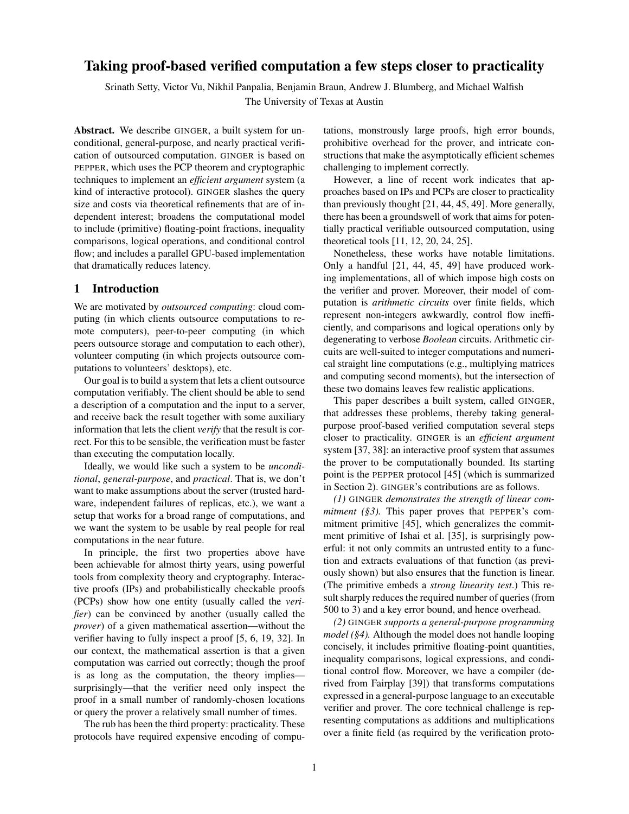# Taking proof-based verified computation a few steps closer to practicality

Srinath Setty, Victor Vu, Nikhil Panpalia, Benjamin Braun, Andrew J. Blumberg, and Michael Walfish

The University of Texas at Austin

Abstract. We describe GINGER, a built system for unconditional, general-purpose, and nearly practical verification of outsourced computation. GINGER is based on PEPPER, which uses the PCP theorem and cryptographic techniques to implement an *efficient argument* system (a kind of interactive protocol). GINGER slashes the query size and costs via theoretical refinements that are of independent interest; broadens the computational model to include (primitive) floating-point fractions, inequality comparisons, logical operations, and conditional control flow; and includes a parallel GPU-based implementation that dramatically reduces latency.

# 1 Introduction

We are motivated by *outsourced computing*: cloud computing (in which clients outsource computations to remote computers), peer-to-peer computing (in which peers outsource storage and computation to each other), volunteer computing (in which projects outsource computations to volunteers' desktops), etc.

Our goal is to build a system that lets a client outsource computation verifiably. The client should be able to send a description of a computation and the input to a server, and receive back the result together with some auxiliary information that lets the client *verify* that the result is correct. For this to be sensible, the verification must be faster than executing the computation locally.

Ideally, we would like such a system to be *unconditional*, *general-purpose*, and *practical*. That is, we don't want to make assumptions about the server (trusted hardware, independent failures of replicas, etc.), we want a setup that works for a broad range of computations, and we want the system to be usable by real people for real computations in the near future.

In principle, the first two properties above have been achievable for almost thirty years, using powerful tools from complexity theory and cryptography. Interactive proofs (IPs) and probabilistically checkable proofs (PCPs) show how one entity (usually called the *verifier*) can be convinced by another (usually called the *prover*) of a given mathematical assertion—without the verifier having to fully inspect a proof [\[5,](#page-10-0) [6,](#page-10-1) [19,](#page-11-0) [32\]](#page-11-1). In our context, the mathematical assertion is that a given computation was carried out correctly; though the proof is as long as the computation, the theory implies surprisingly—that the verifier need only inspect the proof in a small number of randomly-chosen locations or query the prover a relatively small number of times.

The rub has been the third property: practicality. These protocols have required expensive encoding of computations, monstrously large proofs, high error bounds, prohibitive overhead for the prover, and intricate constructions that make the asymptotically efficient schemes challenging to implement correctly.

However, a line of recent work indicates that approaches based on IPs and PCPs are closer to practicality than previously thought [\[21,](#page-11-2) [44,](#page-11-3) [45,](#page-11-4) [49\]](#page-11-5). More generally, there has been a groundswell of work that aims for potentially practical verifiable outsourced computation, using theoretical tools [\[11,](#page-10-2) [12,](#page-10-3) [20,](#page-11-6) [24,](#page-11-7) [25\]](#page-11-8).

Nonetheless, these works have notable limitations. Only a handful [\[21,](#page-11-2) [44,](#page-11-3) [45,](#page-11-4) [49\]](#page-11-5) have produced working implementations, all of which impose high costs on the verifier and prover. Moreover, their model of computation is *arithmetic circuits* over finite fields, which represent non-integers awkwardly, control flow inefficiently, and comparisons and logical operations only by degenerating to verbose *Boolean* circuits. Arithmetic circuits are well-suited to integer computations and numerical straight line computations (e.g., multiplying matrices and computing second moments), but the intersection of these two domains leaves few realistic applications.

This paper describes a built system, called GINGER, that addresses these problems, thereby taking generalpurpose proof-based verified computation several steps closer to practicality. GINGER is an *efficient argument* system [\[37,](#page-11-9) [38\]](#page-11-10): an interactive proof system that assumes the prover to be computationally bounded. Its starting point is the PEPPER protocol [\[45\]](#page-11-4) (which is summarized in Section [2\)](#page-1-0). GINGER's contributions are as follows.

*(1)* GINGER *demonstrates the strength of linear commitment ([§3\)](#page-3-0).* This paper proves that PEPPER's commitment primitive [\[45\]](#page-11-4), which generalizes the commitment primitive of Ishai et al. [\[35\]](#page-11-11), is surprisingly powerful: it not only commits an untrusted entity to a function and extracts evaluations of that function (as previously shown) but also ensures that the function is linear. (The primitive embeds a *strong linearity test*.) This result sharply reduces the required number of queries (from 500 to 3) and a key error bound, and hence overhead.

*(2)* GINGER *supports a general-purpose programming model ([§4\)](#page-4-0).* Although the model does not handle looping concisely, it includes primitive floating-point quantities, inequality comparisons, logical expressions, and conditional control flow. Moreover, we have a compiler (derived from Fairplay [\[39\]](#page-11-12)) that transforms computations expressed in a general-purpose language to an executable verifier and prover. The core technical challenge is representing computations as additions and multiplications over a finite field (as required by the verification proto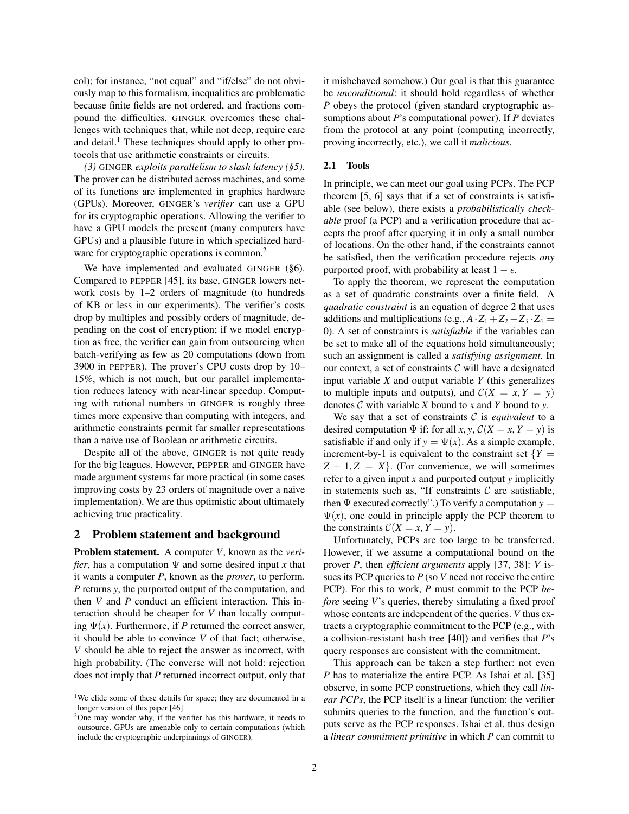col); for instance, "not equal" and "if/else" do not obviously map to this formalism, inequalities are problematic because finite fields are not ordered, and fractions compound the difficulties. GINGER overcomes these challenges with techniques that, while not deep, require care and detail.<sup>1</sup> These techniques should apply to other protocols that use arithmetic constraints or circuits.

*(3)* GINGER *exploits parallelism to slash latency ([§5\)](#page-6-0).* The prover can be distributed across machines, and some of its functions are implemented in graphics hardware (GPUs). Moreover, GINGER's *verifier* can use a GPU for its cryptographic operations. Allowing the verifier to have a GPU models the present (many computers have GPUs) and a plausible future in which specialized hardware for cryptographic operations is common.<sup>2</sup>

We have implemented and evaluated GINGER ([§6\)](#page-6-1). Compared to PEPPER [\[45\]](#page-11-4), its base, GINGER lowers network costs by 1–2 orders of magnitude (to hundreds of KB or less in our experiments). The verifier's costs drop by multiples and possibly orders of magnitude, depending on the cost of encryption; if we model encryption as free, the verifier can gain from outsourcing when batch-verifying as few as 20 computations (down from 3900 in PEPPER). The prover's CPU costs drop by 10– 15%, which is not much, but our parallel implementation reduces latency with near-linear speedup. Computing with rational numbers in GINGER is roughly three times more expensive than computing with integers, and arithmetic constraints permit far smaller representations than a naive use of Boolean or arithmetic circuits.

Despite all of the above, GINGER is not quite ready for the big leagues. However, PEPPER and GINGER have made argument systems far more practical (in some cases improving costs by 23 orders of magnitude over a naive implementation). We are thus optimistic about ultimately achieving true practicality.

### <span id="page-1-0"></span>2 Problem statement and background

Problem statement. A computer *V*, known as the *verifier*, has a computation  $\Psi$  and some desired input *x* that it wants a computer *P*, known as the *prover*, to perform. *P* returns *y*, the purported output of the computation, and then *V* and *P* conduct an efficient interaction. This interaction should be cheaper for *V* than locally computing  $\Psi(x)$ . Furthermore, if *P* returned the correct answer, it should be able to convince *V* of that fact; otherwise, *V* should be able to reject the answer as incorrect, with high probability. (The converse will not hold: rejection does not imply that *P* returned incorrect output, only that it misbehaved somehow.) Our goal is that this guarantee be *unconditional*: it should hold regardless of whether *P* obeys the protocol (given standard cryptographic assumptions about *P*'s computational power). If *P* deviates from the protocol at any point (computing incorrectly, proving incorrectly, etc.), we call it *malicious*.

### <span id="page-1-1"></span>2.1 Tools

In principle, we can meet our goal using PCPs. The PCP theorem [\[5,](#page-10-0) [6\]](#page-10-1) says that if a set of constraints is satisfiable (see below), there exists a *probabilistically checkable* proof (a PCP) and a verification procedure that accepts the proof after querying it in only a small number of locations. On the other hand, if the constraints cannot be satisfied, then the verification procedure rejects *any* purported proof, with probability at least  $1 - \epsilon$ .

To apply the theorem, we represent the computation as a set of quadratic constraints over a finite field. A *quadratic constraint* is an equation of degree 2 that uses additions and multiplications (e.g.,  $A \cdot Z_1 + Z_2 - Z_3 \cdot Z_4 =$ 0). A set of constraints is *satisfiable* if the variables can be set to make all of the equations hold simultaneously; such an assignment is called a *satisfying assignment*. In our context, a set of constraints  $\mathcal C$  will have a designated input variable *X* and output variable *Y* (this generalizes to multiple inputs and outputs), and  $C(X = x, Y = y)$ denotes C with variable *X* bound to *x* and *Y* bound to *y*.

We say that a set of constraints  $C$  is *equivalent* to a desired computation  $\Psi$  if: for all *x*, *y*,  $C(X = x, Y = y)$  is satisfiable if and only if  $y = \Psi(x)$ . As a simple example, increment-by-1 is equivalent to the constraint set  ${Y}$  =  $Z + 1, Z = X$ . (For convenience, we will sometimes refer to a given input *x* and purported output *y* implicitly in statements such as, "If constraints  $C$  are satisfiable, then  $\Psi$  executed correctly".) To verify a computation  $y =$  $\Psi(x)$ , one could in principle apply the PCP theorem to the constraints  $C(X = x, Y = y)$ .

Unfortunately, PCPs are too large to be transferred. However, if we assume a computational bound on the prover *P*, then *efficient arguments* apply [\[37,](#page-11-9) [38\]](#page-11-10): *V* issues its PCP queries to *P* (so *V* need not receive the entire PCP). For this to work, *P* must commit to the PCP *before* seeing *V*'s queries, thereby simulating a fixed proof whose contents are independent of the queries. *V* thus extracts a cryptographic commitment to the PCP (e.g., with a collision-resistant hash tree [\[40\]](#page-11-14)) and verifies that *P*'s query responses are consistent with the commitment.

This approach can be taken a step further: not even *P* has to materialize the entire PCP. As Ishai et al. [\[35\]](#page-11-11) observe, in some PCP constructions, which they call *linear PCPs*, the PCP itself is a linear function: the verifier submits queries to the function, and the function's outputs serve as the PCP responses. Ishai et al. thus design a *linear commitment primitive* in which *P* can commit to

<sup>&</sup>lt;sup>1</sup>We elide some of these details for space; they are documented in a longer version of this paper [\[46\]](#page-11-13).

<sup>2</sup>One may wonder why, if the verifier has this hardware, it needs to outsource. GPUs are amenable only to certain computations (which include the cryptographic underpinnings of GINGER).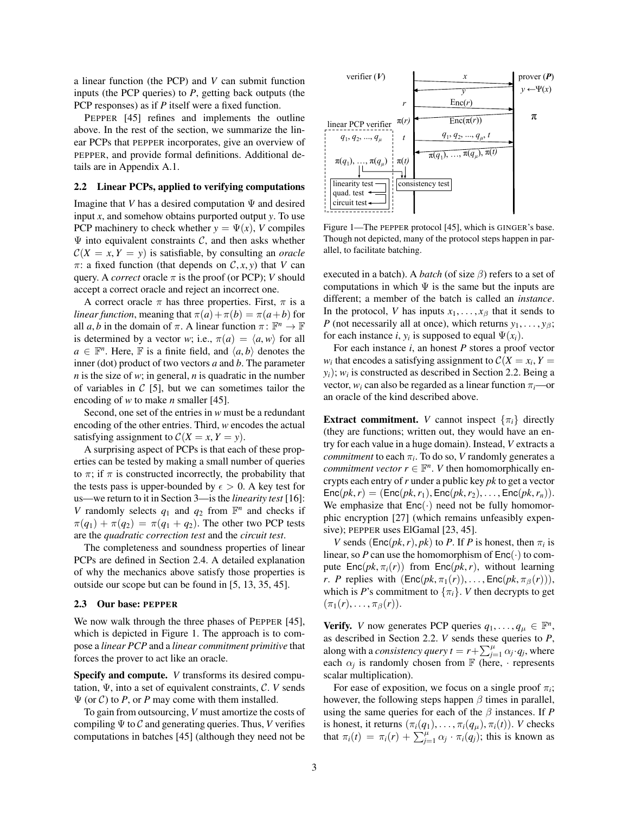a linear function (the PCP) and *V* can submit function inputs (the PCP queries) to *P*, getting back outputs (the PCP responses) as if *P* itself were a fixed function.

PEPPER [\[45\]](#page-11-4) refines and implements the outline above. In the rest of the section, we summarize the linear PCPs that PEPPER incorporates, give an overview of PEPPER, and provide formal definitions. Additional details are in Appendix [A.1.](#page-11-15)

### <span id="page-2-1"></span>2.2 Linear PCPs, applied to verifying computations

Imagine that *V* has a desired computation  $\Psi$  and desired input *x*, and somehow obtains purported output *y*. To use PCP machinery to check whether  $y = \Psi(x)$ , *V* compiles  $\Psi$  into equivalent constraints C, and then asks whether  $C(X = x, Y = y)$  is satisfiable, by consulting an *oracle*  $\pi$ : a fixed function (that depends on  $\mathcal{C}, x, y$ ) that *V* can query. A *correct* oracle  $\pi$  is the proof (or PCP); *V* should accept a correct oracle and reject an incorrect one.

A correct oracle  $\pi$  has three properties. First,  $\pi$  is a *linear function*, meaning that  $\pi(a) + \pi(b) = \pi(a+b)$  for all *a*, *b* in the domain of  $\pi$ . A linear function  $\pi$ :  $\mathbb{F}^n \to \mathbb{F}$ is determined by a vector *w*; i.e.,  $\pi(a) = \langle a, w \rangle$  for all  $a \in \mathbb{F}^n$ . Here,  $\mathbb F$  is a finite field, and  $\langle a, b \rangle$  denotes the inner (dot) product of two vectors *a* and *b*. The parameter *n* is the size of *w*; in general, *n* is quadratic in the number of variables in  $C$  [\[5\]](#page-10-0), but we can sometimes tailor the encoding of *w* to make *n* smaller [\[45\]](#page-11-4).

Second, one set of the entries in *w* must be a redundant encoding of the other entries. Third, *w* encodes the actual satisfying assignment to  $C(X = x, Y = y)$ .

A surprising aspect of PCPs is that each of these properties can be tested by making a small number of queries to  $\pi$ ; if  $\pi$  is constructed incorrectly, the probability that the tests pass is upper-bounded by  $\epsilon > 0$ . A key test for us—we return to it in Section [3—](#page-3-0)is the *linearity test* [\[16\]](#page-11-16): *V* randomly selects  $q_1$  and  $q_2$  from  $\mathbb{F}^n$  and checks if  $\pi(q_1) + \pi(q_2) = \pi(q_1 + q_2)$ . The other two PCP tests are the *quadratic correction test* and the *circuit test*.

The completeness and soundness properties of linear PCPs are defined in Section [2.4.](#page-3-1) A detailed explanation of why the mechanics above satisfy those properties is outside our scope but can be found in [\[5,](#page-10-0) [13,](#page-10-4) [35,](#page-11-11) [45\]](#page-11-4).

#### <span id="page-2-2"></span>2.3 Our base: PEPPER

We now walk through the three phases of PEPPER [\[45\]](#page-11-4), which is depicted in Figure [1.](#page-2-0) The approach is to compose a *linear PCP* and a *linear commitment primitive* that forces the prover to act like an oracle.

Specify and compute. *V* transforms its desired computation, Ψ, into a set of equivalent constraints, C. *V* sends  $\Psi$  (or  $C$ ) to *P*, or *P* may come with them installed.

To gain from outsourcing, *V* must amortize the costs of compiling Ψ to C and generating queries. Thus, *V* verifies computations in batches [\[45\]](#page-11-4) (although they need not be



<span id="page-2-0"></span>Figure 1—The PEPPER protocol [\[45\]](#page-11-4), which is GINGER's base. Though not depicted, many of the protocol steps happen in parallel, to facilitate batching.

executed in a batch). A *batch* (of size  $\beta$ ) refers to a set of computations in which  $\Psi$  is the same but the inputs are different; a member of the batch is called an *instance*. In the protocol, *V* has inputs  $x_1, \ldots, x_\beta$  that it sends to *P* (not necessarily all at once), which returns  $y_1, \ldots, y_\beta$ ; for each instance *i*,  $y_i$  is supposed to equal  $\Psi(x_i)$ .

For each instance *i*, an honest *P* stores a proof vector  $w_i$  that encodes a satisfying assignment to  $C(X = x_i, Y = x_i)$  $y_i$ ;  $w_i$  is constructed as described in Section [2.2.](#page-2-1) Being a vector,  $w_i$  can also be regarded as a linear function  $\pi_i$ —or an oracle of the kind described above.

**Extract commitment.** *V* cannot inspect  $\{\pi_i\}$  directly (they are functions; written out, they would have an entry for each value in a huge domain). Instead, *V* extracts a *commitment* to each  $\pi_i$ . To do so, *V* randomly generates a *commitment vector*  $r \in \mathbb{F}^n$ . *V* then homomorphically encrypts each entry of*r* under a public key *pk* to get a vector  $Enc(pk, r) = (Enc(pk, r_1), Enc(pk, r_2), \ldots, Enc(pk, r_n)).$ We emphasize that  $Enc(\cdot)$  need not be fully homomorphic encryption [\[27\]](#page-11-17) (which remains unfeasibly expensive); PEPPER uses ElGamal [\[23,](#page-11-18) [45\]](#page-11-4).

*V* sends (Enc( $pk$ ,  $r$ ),  $pk$ ) to *P*. If *P* is honest, then  $\pi_i$  is linear, so *P* can use the homomorphism of  $Enc(\cdot)$  to compute  $Enc(pk, \pi_i(r))$  from  $Enc(pk, r)$ , without learning *r*. *P* replies with  $(Enc(pk, \pi_1(r)), \ldots, Enc(pk, \pi_\beta(r))),$ which is *P*'s commitment to  $\{\pi_i\}$ . *V* then decrypts to get  $(\pi_1(r),\ldots,\pi_\beta(r)).$ 

**Verify.** *V* now generates PCP queries  $q_1, \ldots, q_\mu \in \mathbb{F}^n$ , as described in Section [2.2.](#page-2-1) *V* sends these queries to *P*, along with a *consistency query*  $t = r + \sum_{j=1}^{\mu} \alpha_j \cdot q_j$ , where each  $\alpha_j$  is randomly chosen from  $\mathbb F$  (here, · represents scalar multiplication).

For ease of exposition, we focus on a single proof  $\pi_i$ ; however, the following steps happen  $\beta$  times in parallel, using the same queries for each of the  $\beta$  instances. If *P* is honest, it returns  $(\pi_i(q_1), \ldots, \pi_i(q_\mu), \pi_i(t))$ . *V* checks that  $\pi_i(t) = \pi_i(r) + \sum_{j=1}^{\mu} \alpha_j \cdot \pi_i(q_j)$ ; this is known as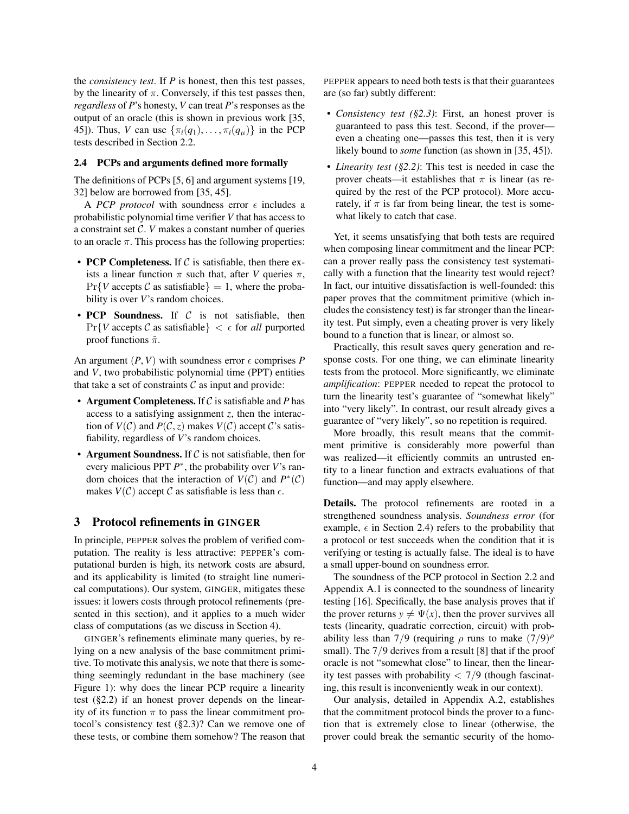the *consistency test*. If *P* is honest, then this test passes, by the linearity of  $\pi$ . Conversely, if this test passes then, *regardless* of *P*'s honesty, *V* can treat *P*'s responses as the output of an oracle (this is shown in previous work [\[35,](#page-11-11) [45\]](#page-11-4)). Thus, *V* can use  $\{\pi_i(q_1), \ldots, \pi_i(q_\mu)\}\)$  in the PCP tests described in Section [2.2.](#page-2-1)

### <span id="page-3-1"></span>2.4 PCPs and arguments defined more formally

The definitions of PCPs [\[5,](#page-10-0) [6\]](#page-10-1) and argument systems [\[19,](#page-11-0) [32\]](#page-11-1) below are borrowed from [\[35,](#page-11-11) [45\]](#page-11-4).

A *PCP protocol* with soundness error  $\epsilon$  includes a probabilistic polynomial time verifier *V* that has access to a constraint set C. *V* makes a constant number of queries to an oracle  $\pi$ . This process has the following properties:

- PCP Completeness. If  $\mathcal C$  is satisfiable, then there exists a linear function  $\pi$  such that, after *V* queries  $\pi$ ,  $Pr{V$  accepts C as satisfiable  $= 1$ , where the probability is over *V*'s random choices.
- PCP Soundness. If  $C$  is not satisfiable, then  $Pr{V$  accepts C as satisfiable  $\}< \epsilon$  for *all* purported proof functions  $\tilde{\pi}$ .

An argument  $(P, V)$  with soundness error  $\epsilon$  comprises P and *V*, two probabilistic polynomial time (PPT) entities that take a set of constraints  $\mathcal C$  as input and provide:

- Argument Completeness. If C is satisfiable and *P* has access to a satisfying assignment *z*, then the interaction of  $V(C)$  and  $P(C, z)$  makes  $V(C)$  accept C's satisfiability, regardless of *V*'s random choices.
- Argument Soundness. If  $C$  is not satisfiable, then for every malicious PPT *P* ∗ , the probability over *V*'s random choices that the interaction of  $V(C)$  and  $P^*(C)$ makes  $V(C)$  accept C as satisfiable is less than  $\epsilon$ .

# <span id="page-3-0"></span>3 Protocol refinements in GINGER

In principle, PEPPER solves the problem of verified computation. The reality is less attractive: PEPPER's computational burden is high, its network costs are absurd, and its applicability is limited (to straight line numerical computations). Our system, GINGER, mitigates these issues: it lowers costs through protocol refinements (presented in this section), and it applies to a much wider class of computations (as we discuss in Section [4\)](#page-4-0).

GINGER's refinements eliminate many queries, by relying on a new analysis of the base commitment primitive. To motivate this analysis, we note that there is something seemingly redundant in the base machinery (see Figure [1\)](#page-2-0): why does the linear PCP require a linearity test ([§2.2\)](#page-2-1) if an honest prover depends on the linearity of its function  $\pi$  to pass the linear commitment protocol's consistency test ([§2.3\)](#page-2-2)? Can we remove one of these tests, or combine them somehow? The reason that PEPPER appears to need both tests is that their guarantees are (so far) subtly different:

- *Consistency test ([§2.3\)](#page-2-2)*: First, an honest prover is guaranteed to pass this test. Second, if the prover even a cheating one—passes this test, then it is very likely bound to *some* function (as shown in [\[35,](#page-11-11) [45\]](#page-11-4)).
- *Linearity test ([§2.2\)](#page-2-1)*: This test is needed in case the prover cheats—it establishes that  $\pi$  is linear (as required by the rest of the PCP protocol). More accurately, if  $\pi$  is far from being linear, the test is somewhat likely to catch that case.

Yet, it seems unsatisfying that both tests are required when composing linear commitment and the linear PCP: can a prover really pass the consistency test systematically with a function that the linearity test would reject? In fact, our intuitive dissatisfaction is well-founded: this paper proves that the commitment primitive (which includes the consistency test) is far stronger than the linearity test. Put simply, even a cheating prover is very likely bound to a function that is linear, or almost so.

Practically, this result saves query generation and response costs. For one thing, we can eliminate linearity tests from the protocol. More significantly, we eliminate *amplification*: PEPPER needed to repeat the protocol to turn the linearity test's guarantee of "somewhat likely" into "very likely". In contrast, our result already gives a guarantee of "very likely", so no repetition is required.

More broadly, this result means that the commitment primitive is considerably more powerful than was realized—it efficiently commits an untrusted entity to a linear function and extracts evaluations of that function—and may apply elsewhere.

Details. The protocol refinements are rooted in a strengthened soundness analysis. *Soundness error* (for example,  $\epsilon$  in Section [2.4\)](#page-3-1) refers to the probability that a protocol or test succeeds when the condition that it is verifying or testing is actually false. The ideal is to have a small upper-bound on soundness error.

The soundness of the PCP protocol in Section [2.2](#page-2-1) and Appendix [A.1](#page-11-15) is connected to the soundness of linearity testing [\[16\]](#page-11-16). Specifically, the base analysis proves that if the prover returns  $y \neq \Psi(x)$ , then the prover survives all tests (linearity, quadratic correction, circuit) with probability less than 7/9 (requiring  $\rho$  runs to make  $(7/9)^{\rho}$ small). The 7/9 derives from a result [\[8\]](#page-10-5) that if the proof oracle is not "somewhat close" to linear, then the linearity test passes with probability  $\langle 7/9 \rangle$  (though fascinating, this result is inconveniently weak in our context).

Our analysis, detailed in Appendix [A.2,](#page-12-0) establishes that the commitment protocol binds the prover to a function that is extremely close to linear (otherwise, the prover could break the semantic security of the homo-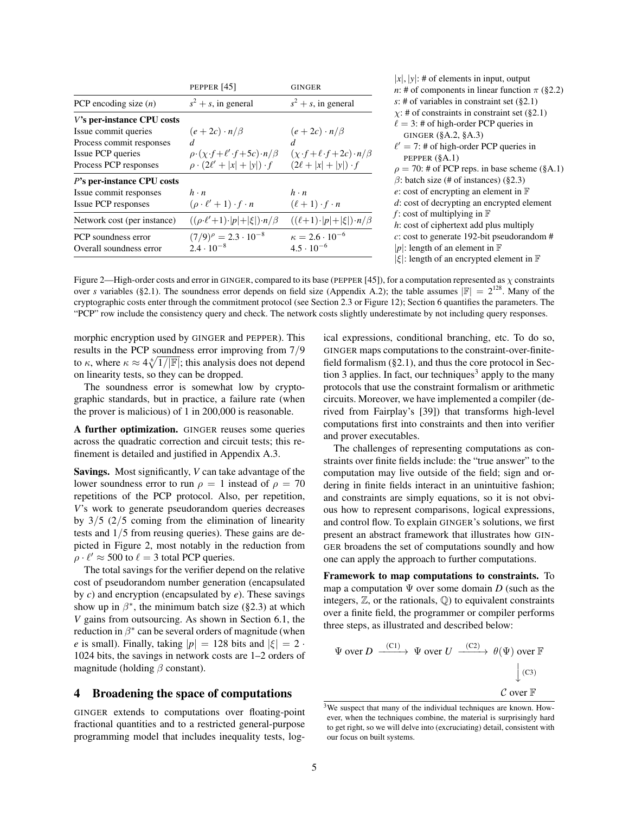|                                                                                                                              | PEPPER [45]                                                                                                                          | <b>GINGER</b>                                                                                                | $ x ,  y $ : # of elements in input, output<br><i>n</i> : # of components in linear function $\pi$ (§2.2)                                                                                                                                                 |
|------------------------------------------------------------------------------------------------------------------------------|--------------------------------------------------------------------------------------------------------------------------------------|--------------------------------------------------------------------------------------------------------------|-----------------------------------------------------------------------------------------------------------------------------------------------------------------------------------------------------------------------------------------------------------|
| PCP encoding size $(n)$                                                                                                      | $s^2 + s$ , in general                                                                                                               | $s^2 + s$ , in general                                                                                       | s: # of variables in constraint set $(\S 2.1)$                                                                                                                                                                                                            |
| V's per-instance CPU costs<br>Issue commit queries<br>Process commit responses<br>Issue PCP queries<br>Process PCP responses | $(e+2c)\cdot n/\beta$<br>$\rho \cdot (\chi \cdot f + \ell' \cdot f + 5c) \cdot n/\beta$<br>$\rho \cdot (2\ell' +  x  +  y ) \cdot f$ | $(e+2c)\cdot n/\beta$<br>$(\chi \cdot f + \ell \cdot f + 2c) \cdot n/\beta$<br>$(2\ell +  x  +  y ) \cdot f$ | $\chi$ : # of constraints in constraint set (§2.1)<br>$\ell = 3$ : # of high-order PCP queries in<br>GINGER $(\S A.2, \S A.3)$<br>$\ell' = 7$ : # of high-order PCP queries in<br>PEPPER $(\S A.1)$<br>$\rho = 70$ : # of PCP reps. in base scheme (§A.1) |
| P's per-instance CPU costs<br>Issue commit responses<br>Issue PCP responses                                                  | $h \cdot n$<br>$(\rho \cdot \ell' + 1) \cdot f \cdot n$                                                                              | $h \cdot n$<br>$(\ell+1)\cdot f\cdot n$                                                                      | $\beta$ : batch size (# of instances) (§2.3)<br>$e$ : cost of encrypting an element in $\mathbb F$<br>$d$ : cost of decrypting an encrypted element                                                                                                       |
| Network cost (per instance)                                                                                                  | $((\rho \ell'+1)\cdot  p + \xi )\cdot n/\beta$                                                                                       | $((\ell+1)\cdot p + \xi )\cdot n/\beta$                                                                      | f: cost of multiplying in $\mathbb F$<br>h: cost of ciphertext add plus multiply                                                                                                                                                                          |
| PCP soundness error<br>Overall soundness error                                                                               | $(7/9)^{\rho} = 2.3 \cdot 10^{-8}$<br>$2.4 \cdot 10^{-8}$                                                                            | $\kappa = 2.6 \cdot 10^{-6}$<br>$4.5 \cdot 10^{-6}$                                                          | $c$ : cost to generate 192-bit pseudorandom #<br> p : length of an element in $\mathbb F$<br>$ \xi $ : length of an encrypted element in $\mathbb F$                                                                                                      |

<span id="page-4-1"></span>Figure 2—High-order costs and error in GINGER, compared to its base (PEPPER [\[45\]](#page-11-4)), for a computation represented as  $\chi$  constraints over *s* variables ([§2.1\)](#page-1-1). The soundness error depends on field size (Appendix [A.2\)](#page-12-0); the table assumes  $\mathbb{F}| = 2^{128}$ . Many of the cryptographic costs enter through the commitment protocol (see Section [2.3](#page-2-2) or Figure [12\)](#page-12-1); Section [6](#page-6-1) quantifies the parameters. The "PCP" row include the consistency query and check. The network costs slightly underestimate by not including query responses.

morphic encryption used by GINGER and PEPPER). This results in the PCP soundness error improving from 7/9 to  $\kappa$ , where  $\kappa \approx 4 \sqrt[6]{1/|\mathbb{F}|}$ ; this analysis does not depend on linearity tests, so they can be dropped.

The soundness error is somewhat low by cryptographic standards, but in practice, a failure rate (when the prover is malicious) of 1 in 200,000 is reasonable.

A further optimization. GINGER reuses some queries across the quadratic correction and circuit tests; this refinement is detailed and justified in Appendix [A.3.](#page-15-0)

Savings. Most significantly, *V* can take advantage of the lower soundness error to run  $\rho = 1$  instead of  $\rho = 70$ repetitions of the PCP protocol. Also, per repetition, *V*'s work to generate pseudorandom queries decreases by  $3/5$  ( $2/5$  coming from the elimination of linearity tests and 1/5 from reusing queries). These gains are depicted in Figure [2,](#page-4-1) most notably in the reduction from  $\rho \cdot \ell' \approx 500$  to  $\ell = 3$  total PCP queries.

The total savings for the verifier depend on the relative cost of pseudorandom number generation (encapsulated by *c*) and encryption (encapsulated by *e*). These savings show up in  $\beta^*$ , the minimum batch size ([§2.3\)](#page-2-2) at which *V* gains from outsourcing. As shown in Section [6.1,](#page-8-0) the reduction in  $\beta^*$  can be several orders of magnitude (when *e* is small). Finally, taking  $|p| = 128$  bits and  $|\xi| = 2 \cdot$ 1024 bits, the savings in network costs are 1–2 orders of magnitude (holding  $\beta$  constant).

## <span id="page-4-0"></span>4 Broadening the space of computations

GINGER extends to computations over floating-point fractional quantities and to a restricted general-purpose programming model that includes inequality tests, logical expressions, conditional branching, etc. To do so, GINGER maps computations to the constraint-over-finitefield formalism ([§2.1\)](#page-1-1), and thus the core protocol in Sec-tion [3](#page-3-0) applies. In fact, our techniques<sup>3</sup> apply to the many protocols that use the constraint formalism or arithmetic circuits. Moreover, we have implemented a compiler (derived from Fairplay's [\[39\]](#page-11-12)) that transforms high-level computations first into constraints and then into verifier and prover executables.

The challenges of representing computations as constraints over finite fields include: the "true answer" to the computation may live outside of the field; sign and ordering in finite fields interact in an unintuitive fashion; and constraints are simply equations, so it is not obvious how to represent comparisons, logical expressions, and control flow. To explain GINGER's solutions, we first present an abstract framework that illustrates how GIN-GER broadens the set of computations soundly and how one can apply the approach to further computations.

Framework to map computations to constraints. To map a computation Ψ over some domain *D* (such as the integers,  $\mathbb{Z}$ , or the rationals,  $\mathbb{Q}$ ) to equivalent constraints over a finite field, the programmer or compiler performs three steps, as illustrated and described below:

$$
\Psi \text{ over } D \xrightarrow{(\text{C1})} \Psi \text{ over } U \xrightarrow{(\text{C2})} \theta(\Psi) \text{ over } \mathbb{F}
$$
\n
$$
\downarrow^{(\text{C3})} \mathcal{C} \text{ over } \mathbb{F}
$$

<sup>3</sup>We suspect that many of the individual techniques are known. However, when the techniques combine, the material is surprisingly hard to get right, so we will delve into (excruciating) detail, consistent with our focus on built systems.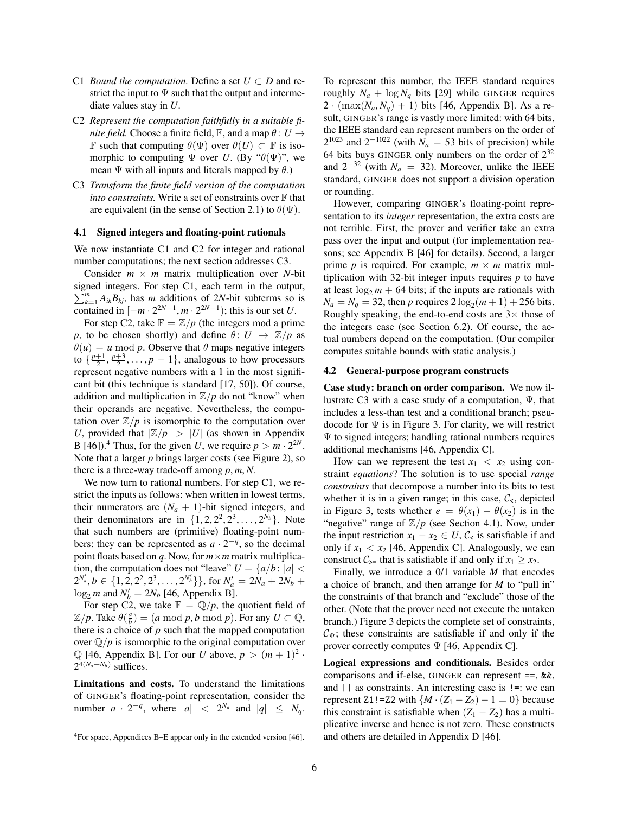- C1 *Bound the computation.* Define a set  $U \subset D$  and restrict the input to  $\Psi$  such that the output and intermediate values stay in *U*.
- C2 *Represent the computation faithfully in a suitable finite field.* Choose a finite field, F, and a map  $\theta: U \rightarrow$ **F** such that computing  $\theta(\Psi)$  over  $\theta(U) \subset \mathbb{F}$  is isomorphic to computing  $\Psi$  over *U*. (By " $\theta(\Psi)$ ", we mean  $\Psi$  with all inputs and literals mapped by  $\theta$ .)
- C3 *Transform the finite field version of the computation into constraints.* Write a set of constraints over  $\mathbb F$  that are equivalent (in the sense of Section [2.1\)](#page-1-1) to  $\theta(\Psi)$ .

#### <span id="page-5-0"></span>4.1 Signed integers and floating-point rationals

We now instantiate C1 and C2 for integer and rational number computations; the next section addresses C3.

Consider  $m \times m$  matrix multiplication over *N*-bit signed integers. For step C1, each term in the output,  $\sum_{k=1}^{m} A_{ik} B_{kj}$ , has *m* additions of 2*N*-bit subterms so is contained in  $[-m \cdot 2^{2N-1}, m \cdot 2^{2N-1}]$ ; this is our set *U*.

For step C2, take  $\mathbb{F} = \mathbb{Z}/p$  (the integers mod a prime *p*, to be chosen shortly) and define  $\theta: U \rightarrow \mathbb{Z}/p$  as  $\theta(u) = u \mod p$ . Observe that  $\theta$  maps negative integers to  $\{\frac{p+1}{2}, \frac{p+3}{2}, \ldots, p-1\}$ , analogous to how processors represent negative numbers with a 1 in the most significant bit (this technique is standard [\[17,](#page-11-19) [50\]](#page-11-20)). Of course, addition and multiplication in  $\mathbb{Z}/p$  do not "know" when their operands are negative. Nevertheless, the computation over  $\mathbb{Z}/p$  is isomorphic to the computation over *U*, provided that  $|\mathbb{Z}/p| > |U|$  (as shown in Appendix B [\[46\]](#page-11-13)).<sup>4</sup> Thus, for the given *U*, we require  $p > m \cdot 2^{2N}$ . Note that a larger *p* brings larger costs (see Figure [2\)](#page-4-1), so there is a three-way trade-off among *p*, *m*,*N*.

We now turn to rational numbers. For step C1, we restrict the inputs as follows: when written in lowest terms, their numerators are  $(N_a + 1)$ -bit signed integers, and their denominators are in  $\{1, 2, 2^2, 2^3, ..., 2^{N_b}\}$ . Note that such numbers are (primitive) floating-point numbers: they can be represented as  $a \cdot 2^{-q}$ , so the decimal point floats based on *q*. Now, for  $m \times m$  matrix multiplication, the computation does not "leave"  $U = \{a/b : |a| < \}$  $2^{N'_a}, b \in \{1, 2, 2^2, 2^3, \ldots, 2^{N'_b}\}\},$  for  $N'_a = 2N_a + 2N_b +$  $\log_2 m$  and  $N'_b = 2N_b$  [\[46,](#page-11-13) Appendix B].

For step C2, we take  $\mathbb{F} = \mathbb{Q}/p$ , the quotient field of  $\mathbb{Z}/p$ . Take  $\theta(\frac{a}{b}) = (a \mod p, b \mod p)$ . For any  $U \subset \mathbb{Q}$ , there is a choice of  $p$  such that the mapped computation over  $\mathbb{Q}/p$  is isomorphic to the original computation over  $\mathbb{Q}$  [\[46,](#page-11-13) Appendix B]. For our *U* above,  $p > (m+1)^2$ .  $2^{4(N_a+N_b)}$  suffices.

Limitations and costs. To understand the limitations of GINGER's floating-point representation, consider the number  $a \cdot 2^{-q}$ , where  $|a| < 2^{N_a}$  and  $|q| \le N_q$ .

To represent this number, the IEEE standard requires roughly  $N_a$  +  $\log N_q$  bits [\[29\]](#page-11-21) while GINGER requires  $2 \cdot (max(N_a, N_a) + 1)$  bits [\[46,](#page-11-13) Appendix B]. As a result, GINGER's range is vastly more limited: with 64 bits, the IEEE standard can represent numbers on the order of  $2^{1023}$  and  $2^{-1022}$  (with  $N_a = 53$  bits of precision) while 64 bits buys GINGER only numbers on the order of  $2^{32}$ and  $2^{-32}$  (with  $N_a = 32$ ). Moreover, unlike the IEEE standard, GINGER does not support a division operation or rounding.

However, comparing GINGER's floating-point representation to its *integer* representation, the extra costs are not terrible. First, the prover and verifier take an extra pass over the input and output (for implementation reasons; see Appendix B [\[46\]](#page-11-13) for details). Second, a larger prime *p* is required. For example,  $m \times m$  matrix multiplication with 32-bit integer inputs requires *p* to have at least  $\log_2 m$  + 64 bits; if the inputs are rationals with  $N_a = N_q = 32$ , then *p* requires  $2 \log_2(m+1) + 256$  bits. Roughly speaking, the end-to-end costs are  $3\times$  those of the integers case (see Section [6.2\)](#page-8-1). Of course, the actual numbers depend on the computation. (Our compiler computes suitable bounds with static analysis.)

#### <span id="page-5-1"></span>4.2 General-purpose program constructs

Case study: branch on order comparison. We now illustrate C3 with a case study of a computation,  $\Psi$ , that includes a less-than test and a conditional branch; pseudocode for  $\Psi$  is in Figure [3.](#page-6-2) For clarity, we will restrict  $\Psi$  to signed integers; handling rational numbers requires additional mechanisms [\[46,](#page-11-13) Appendix C].

How can we represent the test  $x_1 < x_2$  using constraint *equations*? The solution is to use special *range constraints* that decompose a number into its bits to test whether it is in a given range; in this case,  $\mathcal{C}_{\leq}$ , depicted in Figure [3,](#page-6-2) tests whether  $e = \theta(x_1) - \theta(x_2)$  is in the "negative" range of  $\mathbb{Z}/p$  (see Section [4.1\)](#page-5-0). Now, under the input restriction  $x_1 - x_2 \in U$ ,  $C_{\le}$  is satisfiable if and only if  $x_1 < x_2$  [\[46,](#page-11-13) Appendix C]. Analogously, we can construct  $C_{\geq}$  that is satisfiable if and only if  $x_1 \geq x_2$ .

Finally, we introduce a 0/1 variable *M* that encodes a choice of branch, and then arrange for *M* to "pull in" the constraints of that branch and "exclude" those of the other. (Note that the prover need not execute the untaken branch.) Figure [3](#page-6-2) depicts the complete set of constraints,  $\mathcal{C}_{\Psi}$ ; these constraints are satisfiable if and only if the prover correctly computes Ψ [\[46,](#page-11-13) Appendix C].

Logical expressions and conditionals. Besides order comparisons and if-else, GINGER can represent ==, &&, and  $||$  as constraints. An interesting case is  $!=:$  we can represent Z1!=Z2 with  $\{M \cdot (Z_1 - Z_2) - 1 = 0\}$  because this constraint is satisfiable when  $(Z_1 - Z_2)$  has a multiplicative inverse and hence is not zero. These constructs and others are detailed in Appendix D [\[46\]](#page-11-13).

<sup>4</sup>For space, Appendices B–E appear only in the extended version [\[46\]](#page-11-13).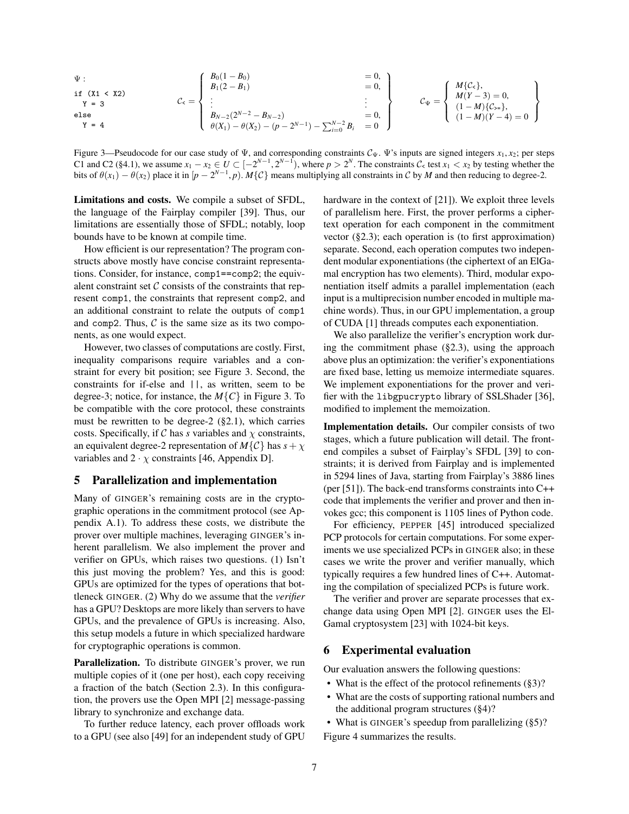$$
\Psi : \begin{array}{ll}\n\Psi : \\
\text{if } (X1 < X2) \\
Y = 3 \\
Y = 4\n\end{array}\n\qquad\nC_{\leq} = \left\{\n\begin{array}{ll}\nB_0(1 - B_0) & = 0, \\
B_1(2 - B_1) & = 0, \\
\vdots \\
B_{N-2}(2^{N-2} - B_{N-2}) & = 0, \\
\theta(X_1) - \theta(X_2) - (p - 2^{N-1}) - \sum_{i=0}^{N-2} B_i & = 0\n\end{array}\n\right\}\n\qquad\nC_{\Psi} = \left\{\n\begin{array}{ll}\nM\{\mathcal{C}_{\leq}\}, \\
M(Y - 3) = 0, \\
(1 - M)\{C_{>}\}, \\
(1 - M)(Y - 4) = 0\n\end{array}\n\right\}
$$

Figure 3—Pseudocode for our case study of  $\Psi$ , and corresponding constraints  $C_{\Psi}$ .  $\Psi$ 's inputs are signed integers  $x_1, x_2$ ; per steps C1 and C2 ([§4.1\)](#page-5-0), we assume  $x_1 - x_2 \in U \subset [-2^{N-1}, 2^{N-1})$ , where  $p > 2^N$ . The constraints  $C_5$  test  $x_1 < x_2$  by testing whether the bits of  $\theta(x_1) - \theta(x_2)$  place it in  $[p - 2^{N-1}, p)$ . *M*{C} means multiplying all constraints in C by *M* and then reducing to degree-2.

Limitations and costs. We compile a subset of SFDL, the language of the Fairplay compiler [\[39\]](#page-11-12). Thus, our limitations are essentially those of SFDL; notably, loop bounds have to be known at compile time.

How efficient is our representation? The program constructs above mostly have concise constraint representations. Consider, for instance, comp1==comp2; the equivalent constraint set  $\mathcal C$  consists of the constraints that represent comp1, the constraints that represent comp2, and an additional constraint to relate the outputs of comp1 and comp2. Thus,  $C$  is the same size as its two components, as one would expect.

However, two classes of computations are costly. First, inequality comparisons require variables and a constraint for every bit position; see Figure [3.](#page-6-2) Second, the constraints for if-else and ||, as written, seem to be degree-3; notice, for instance, the  $M\{C\}$  in Figure [3.](#page-6-2) To be compatible with the core protocol, these constraints must be rewritten to be degree-2 ([§2.1\)](#page-1-1), which carries costs. Specifically, if C has *s* variables and  $\chi$  constraints, an equivalent degree-2 representation of  $M\{\mathcal{C}\}\$  has  $s + \chi$ variables and  $2 \cdot \chi$  constraints [\[46,](#page-11-13) Appendix D].

## <span id="page-6-0"></span>5 Parallelization and implementation

Many of GINGER's remaining costs are in the cryptographic operations in the commitment protocol (see Appendix [A.1\)](#page-11-15). To address these costs, we distribute the prover over multiple machines, leveraging GINGER's inherent parallelism. We also implement the prover and verifier on GPUs, which raises two questions. (1) Isn't this just moving the problem? Yes, and this is good: GPUs are optimized for the types of operations that bottleneck GINGER. (2) Why do we assume that the *verifier* has a GPU? Desktops are more likely than servers to have GPUs, and the prevalence of GPUs is increasing. Also, this setup models a future in which specialized hardware for cryptographic operations is common.

Parallelization. To distribute GINGER's prover, we run multiple copies of it (one per host), each copy receiving a fraction of the batch (Section [2.3\)](#page-2-2). In this configuration, the provers use the Open MPI [\[2\]](#page-10-6) message-passing library to synchronize and exchange data.

To further reduce latency, each prover offloads work to a GPU (see also [\[49\]](#page-11-5) for an independent study of GPU <span id="page-6-2"></span>hardware in the context of [\[21\]](#page-11-2)). We exploit three levels of parallelism here. First, the prover performs a ciphertext operation for each component in the commitment vector ([§2.3\)](#page-2-2); each operation is (to first approximation) separate. Second, each operation computes two independent modular exponentiations (the ciphertext of an ElGamal encryption has two elements). Third, modular exponentiation itself admits a parallel implementation (each input is a multiprecision number encoded in multiple machine words). Thus, in our GPU implementation, a group of CUDA [\[1\]](#page-10-7) threads computes each exponentiation.

We also parallelize the verifier's encryption work during the commitment phase ([§2.3\)](#page-2-2), using the approach above plus an optimization: the verifier's exponentiations are fixed base, letting us memoize intermediate squares. We implement exponentiations for the prover and verifier with the libgpucrypto library of SSLShader [\[36\]](#page-11-22), modified to implement the memoization.

Implementation details. Our compiler consists of two stages, which a future publication will detail. The frontend compiles a subset of Fairplay's SFDL [\[39\]](#page-11-12) to constraints; it is derived from Fairplay and is implemented in 5294 lines of Java, starting from Fairplay's 3886 lines (per [\[51\]](#page-11-23)). The back-end transforms constraints into C++ code that implements the verifier and prover and then invokes gcc; this component is 1105 lines of Python code.

For efficiency, PEPPER [\[45\]](#page-11-4) introduced specialized PCP protocols for certain computations. For some experiments we use specialized PCPs in GINGER also; in these cases we write the prover and verifier manually, which typically requires a few hundred lines of C++. Automating the compilation of specialized PCPs is future work.

The verifier and prover are separate processes that exchange data using Open MPI [\[2\]](#page-10-6). GINGER uses the El-Gamal cryptosystem [\[23\]](#page-11-18) with 1024-bit keys.

# <span id="page-6-1"></span>6 Experimental evaluation

Our evaluation answers the following questions:

- What is the effect of the protocol refinements ([§3\)](#page-3-0)?
- What are the costs of supporting rational numbers and the additional program structures ([§4\)](#page-4-0)?
- What is GINGER's speedup from parallelizing ([§5\)](#page-6-0)?

Figure [4](#page-7-0) summarizes the results.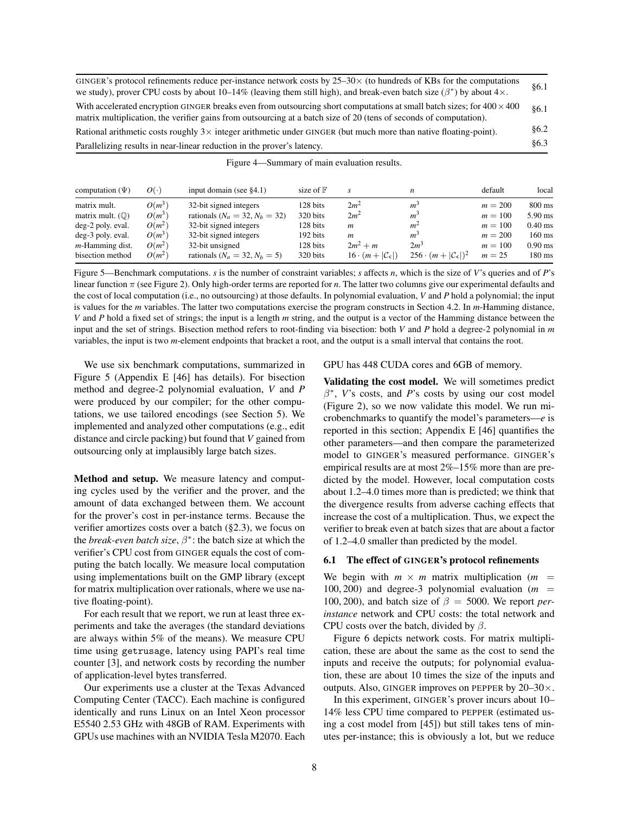| GINGER's protocol refinements reduce per-instance network costs by $25-30\times$ (to hundreds of KBs for the computations<br>we study), prover CPU costs by about 10–14% (leaving them still high), and break-even batch size $(\beta^*)$ by about $4 \times$ . | §6.1 |
|-----------------------------------------------------------------------------------------------------------------------------------------------------------------------------------------------------------------------------------------------------------------|------|
| With accelerated encryption GINGER breaks even from outsourcing short computations at small batch sizes; for $400 \times 400$<br>matrix multiplication, the verifier gains from outsourcing at a batch size of 20 (tens of seconds of computation).             | §6.1 |
| Rational arithmetic costs roughly $3 \times$ integer arithmetic under GINGER (but much more than native floating-point).                                                                                                                                        | §6.2 |
| Parallelizing results in near-linear reduction in the prover's latency.                                                                                                                                                                                         | §6.3 |

| computation $(\Psi)$        | $O(\cdot)$ | input domain (see $§4.1)$ )           | size of $\mathbb F$ | $\mathcal{S}$                        | n                                       | default   | local            |
|-----------------------------|------------|---------------------------------------|---------------------|--------------------------------------|-----------------------------------------|-----------|------------------|
| matrix mult.                | $O(m^3)$   | 32-bit signed integers                | 128 bits            | $2m^2$                               | m <sup>3</sup>                          | $m = 200$ | $800 \text{ ms}$ |
| matrix mult. $(\mathbb{O})$ | $O(m^3)$   | rationals ( $N_a = 32$ , $N_b = 32$ ) | 320 bits            | $2m^2$                               | m <sup>3</sup>                          | $m = 100$ | $5.90$ ms        |
| deg-2 poly. eval.           | $O(m^2)$   | 32-bit signed integers                | 128 bits            | $\boldsymbol{m}$                     | m <sup>2</sup>                          | $m = 100$ | $0.40$ ms        |
| deg-3 poly. eval.           | $O(m^3)$   | 32-bit signed integers                | 192 bits            | $\boldsymbol{m}$                     | m <sup>3</sup>                          | $m = 200$ | $160 \text{ ms}$ |
| $m$ -Hamming dist.          | $O(m^2)$   | 32-bit unsigned                       | 128 bits            | $2m^2 + m$                           | $2m^3$                                  | $m = 100$ | $0.90$ ms        |
| bisection method            | $O(m^2)$   | rationals ( $N_a = 32$ , $N_b = 5$ )  | 320 bits            | $16 \cdot (m +  \mathcal{C}_{\le} )$ | $256 \cdot (m +  \mathcal{C}_{\le} )^2$ | $m = 25$  | $180 \text{ ms}$ |

<span id="page-7-0"></span>Figure 4—Summary of main evaluation results.

<span id="page-7-2"></span>Figure 5—Benchmark computations. *s* is the number of constraint variables; *s* affects *n*, which is the size of *V*'s queries and of *P*'s linear function π (see Figure [2\)](#page-4-1). Only high-order terms are reported for *n*. The latter two columns give our experimental defaults and the cost of local computation (i.e., no outsourcing) at those defaults. In polynomial evaluation, *V* and *P* hold a polynomial; the input is values for the *m* variables. The latter two computations exercise the program constructs in Section [4.2.](#page-5-1) In *m*-Hamming distance, *V* and *P* hold a fixed set of strings; the input is a length *m* string, and the output is a vector of the Hamming distance between the input and the set of strings. Bisection method refers to root-finding via bisection: both *V* and *P* hold a degree-2 polynomial in *m* variables, the input is two *m*-element endpoints that bracket a root, and the output is a small interval that contains the root.

We use six benchmark computations, summarized in Figure [5](#page-7-2) (Appendix E [\[46\]](#page-11-13) has details). For bisection method and degree-2 polynomial evaluation, *V* and *P* were produced by our compiler; for the other computations, we use tailored encodings (see Section [5\)](#page-6-0). We implemented and analyzed other computations (e.g., edit distance and circle packing) but found that *V* gained from outsourcing only at implausibly large batch sizes.

Method and setup. We measure latency and computing cycles used by the verifier and the prover, and the amount of data exchanged between them. We account for the prover's cost in per-instance terms. Because the verifier amortizes costs over a batch ([§2.3\)](#page-2-2), we focus on the *break-even batch size*,  $\beta^*$ : the batch size at which the verifier's CPU cost from GINGER equals the cost of computing the batch locally. We measure local computation using implementations built on the GMP library (except for matrix multiplication over rationals, where we use native floating-point).

For each result that we report, we run at least three experiments and take the averages (the standard deviations are always within 5% of the means). We measure CPU time using getrusage, latency using PAPI's real time counter [\[3\]](#page-10-8), and network costs by recording the number of application-level bytes transferred.

Our experiments use a cluster at the Texas Advanced Computing Center (TACC). Each machine is configured identically and runs Linux on an Intel Xeon processor E5540 2.53 GHz with 48GB of RAM. Experiments with GPUs use machines with an NVIDIA Tesla M2070. Each

#### GPU has 448 CUDA cores and 6GB of memory.

Validating the cost model. We will sometimes predict β ∗ , *V*'s costs, and *P*'s costs by using our cost model (Figure [2\)](#page-4-1), so we now validate this model. We run microbenchmarks to quantify the model's parameters—*e* is reported in this section; Appendix E [\[46\]](#page-11-13) quantifies the other parameters—and then compare the parameterized model to GINGER's measured performance. GINGER's empirical results are at most 2%–15% more than are predicted by the model. However, local computation costs about 1.2–4.0 times more than is predicted; we think that the divergence results from adverse caching effects that increase the cost of a multiplication. Thus, we expect the verifier to break even at batch sizes that are about a factor of 1.2–4.0 smaller than predicted by the model.

#### <span id="page-7-1"></span>6.1 The effect of GINGER's protocol refinements

We begin with  $m \times m$  matrix multiplication ( $m =$ 100, 200) and degree-3 polynomial evaluation  $(m =$ 100, 200), and batch size of  $\beta = 5000$ . We report *perinstance* network and CPU costs: the total network and CPU costs over the batch, divided by  $\beta$ .

Figure [6](#page-8-2) depicts network costs. For matrix multiplication, these are about the same as the cost to send the inputs and receive the outputs; for polynomial evaluation, these are about 10 times the size of the inputs and outputs. Also, GINGER improves on PEPPER by  $20-30\times$ .

In this experiment, GINGER's prover incurs about 10– 14% less CPU time compared to PEPPER (estimated using a cost model from [\[45\]](#page-11-4)) but still takes tens of minutes per-instance; this is obviously a lot, but we reduce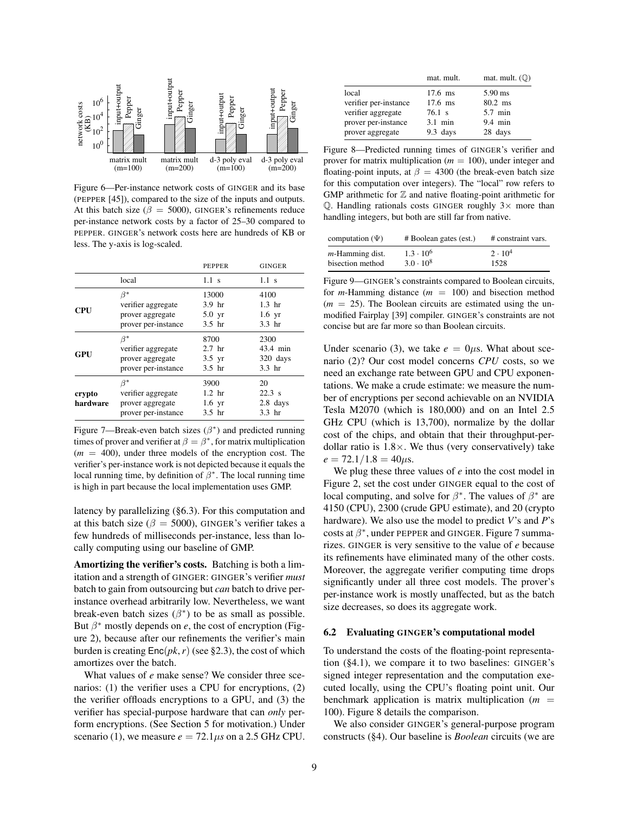

<span id="page-8-2"></span>Figure 6—Per-instance network costs of GINGER and its base (PEPPER [\[45\]](#page-11-4)), compared to the size of the inputs and outputs. At this batch size ( $\beta = 5000$ ), GINGER's refinements reduce per-instance network costs by a factor of 25–30 compared to PEPPER. GINGER's network costs here are hundreds of KB or less. The y-axis is log-scaled.

|                    |                                                                            | <b>PEPPER</b>                                     | <b>GINGER</b>                                             |
|--------------------|----------------------------------------------------------------------------|---------------------------------------------------|-----------------------------------------------------------|
|                    | local                                                                      | $1.1$ s                                           | $1.1$ s                                                   |
| <b>CPU</b>         | $\beta^*$<br>verifier aggregate<br>prover aggregate<br>prover per-instance | 13000<br>$3.9$ hr<br>$5.0 \text{ yr}$<br>$3.5$ hr | 4100<br>$1.3$ hr<br>$1.6 \text{ yr}$<br>3.3 <sub>hr</sub> |
| GPU                | $\beta^*$<br>verifier aggregate<br>prover aggregate<br>prover per-instance | 8700<br>$2.7$ hr<br>$3.5 \text{ yr}$<br>3.5 hr    | 2300<br>43.4 min<br>320 days<br>3.3 <sub>hr</sub>         |
| crypto<br>hardware | $\beta^*$<br>verifier aggregate<br>prover aggregate<br>prover per-instance | 3900<br>$1.2$ hr<br>$1.6 \text{ yr}$<br>$3.5$ hr  | 20<br>22.3 s<br>2.8 days<br>3.3 <sub>hr</sub>             |

<span id="page-8-3"></span>Figure 7—Break-even batch sizes  $(\beta^*)$  and predicted running times of prover and verifier at  $\beta = \beta^*$ , for matrix multiplication  $(m = 400)$ , under three models of the encryption cost. The verifier's per-instance work is not depicted because it equals the local running time, by definition of  $\beta^*$ . The local running time is high in part because the local implementation uses GMP.

latency by parallelizing ([§6.3\)](#page-9-0). For this computation and at this batch size ( $\beta = 5000$ ), GINGER's verifier takes a few hundreds of milliseconds per-instance, less than locally computing using our baseline of GMP.

<span id="page-8-0"></span>Amortizing the verifier's costs. Batching is both a limitation and a strength of GINGER: GINGER's verifier *must* batch to gain from outsourcing but *can* batch to drive perinstance overhead arbitrarily low. Nevertheless, we want break-even batch sizes  $(\beta^*)$  to be as small as possible. But  $\beta^*$  mostly depends on *e*, the cost of encryption (Figure [2\)](#page-4-1), because after our refinements the verifier's main burden is creating  $Enc(pk, r)$  (see [§2.3\)](#page-2-2), the cost of which amortizes over the batch.

What values of *e* make sense? We consider three scenarios: (1) the verifier uses a CPU for encryptions, (2) the verifier offloads encryptions to a GPU, and (3) the verifier has special-purpose hardware that can *only* perform encryptions. (See Section [5](#page-6-0) for motivation.) Under scenario (1), we measure  $e = 72.1 \mu s$  on a 2.5 GHz CPU.

<span id="page-8-4"></span>

|                       | mat. mult.       | mat. mult. $(\mathbb{Q})$ |
|-----------------------|------------------|---------------------------|
| local                 | $17.6$ ms        | $5.90$ ms                 |
| verifier per-instance | $17.6$ ms        | 80.2 ms                   |
| verifier aggregate    | $76.1 \text{ s}$ | $5.7$ min                 |
| prover per-instance   | $3.1$ min        | 9.4 min                   |
| prover aggregate      | $9.3$ days       | 28 days                   |

Figure 8—Predicted running times of GINGER's verifier and prover for matrix multiplication (*m* = 100), under integer and floating-point inputs, at  $\beta = 4300$  (the break-even batch size for this computation over integers). The "local" row refers to GMP arithmetic for  $Z$  and native floating-point arithmetic for  $Q$ . Handling rationals costs GINGER roughly  $3 \times$  more than handling integers, but both are still far from native.

| computation $(\Psi)$    | # Boolean gates (est.) | # constraint vars. |
|-------------------------|------------------------|--------------------|
| <i>m</i> -Hamming dist. | $1.3 \cdot 10^{6}$     | $2 \cdot 10^4$     |
| bisection method        | $3.0 \cdot 10^8$       | 1528               |

<span id="page-8-5"></span>Figure 9—GINGER's constraints compared to Boolean circuits, for *m*-Hamming distance  $(m = 100)$  and bisection method  $(m = 25)$ . The Boolean circuits are estimated using the unmodified Fairplay [\[39\]](#page-11-12) compiler. GINGER's constraints are not concise but are far more so than Boolean circuits.

Under scenario (3), we take  $e = 0\mu$ s. What about scenario (2)? Our cost model concerns *CPU* costs, so we need an exchange rate between GPU and CPU exponentations. We make a crude estimate: we measure the number of encryptions per second achievable on an NVIDIA Tesla M2070 (which is 180,000) and on an Intel 2.5 GHz CPU (which is 13,700), normalize by the dollar cost of the chips, and obtain that their throughput-perdollar ratio is  $1.8 \times$ . We thus (very conservatively) take  $e = 72.1/1.8 = 40 \mu s$ .

We plug these three values of *e* into the cost model in Figure [2,](#page-4-1) set the cost under GINGER equal to the cost of local computing, and solve for  $\beta^*$ . The values of  $\beta^*$  are 4150 (CPU), 2300 (crude GPU estimate), and 20 (crypto hardware). We also use the model to predict *V*'s and *P*'s costs at  $\beta^*$ , under PEPPER and GINGER. Figure [7](#page-8-3) summarizes. GINGER is very sensitive to the value of *e* because its refinements have eliminated many of the other costs. Moreover, the aggregate verifier computing time drops significantly under all three cost models. The prover's per-instance work is mostly unaffected, but as the batch size decreases, so does its aggregate work.

### <span id="page-8-1"></span>6.2 Evaluating GINGER's computational model

To understand the costs of the floating-point representation ([§4.1\)](#page-5-0), we compare it to two baselines: GINGER's signed integer representation and the computation executed locally, using the CPU's floating point unit. Our benchmark application is matrix multiplication  $(m =$ 100). Figure [8](#page-8-4) details the comparison.

We also consider GINGER's general-purpose program constructs ([§4\)](#page-4-0). Our baseline is *Boolean* circuits (we are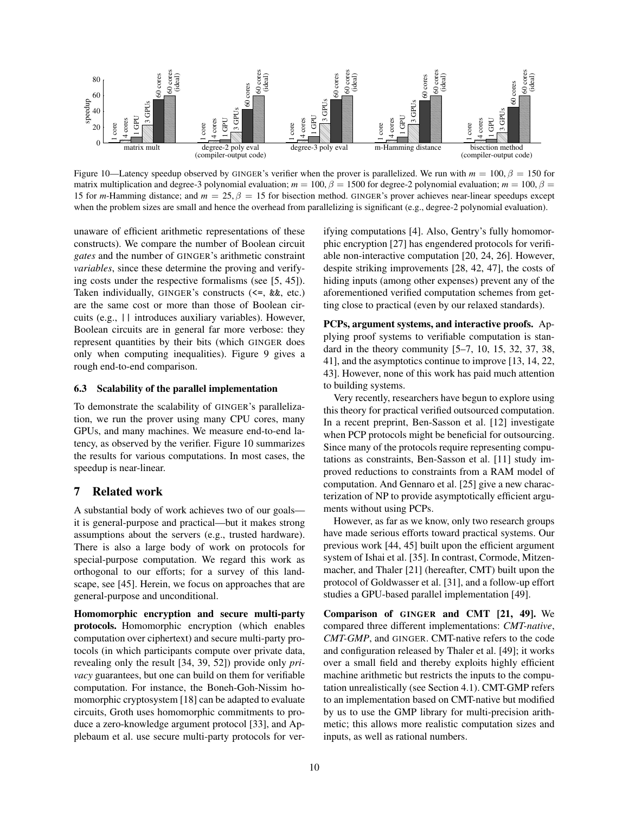

<span id="page-9-1"></span>Figure 10—Latency speedup observed by GINGER's verifier when the prover is parallelized. We run with  $m = 100, \beta = 150$  for matrix multiplication and degree-3 polynomial evaluation;  $m = 100$ ,  $\beta = 1500$  for degree-2 polynomial evaluation;  $m = 100$ ,  $\beta =$ 15 for *m*-Hamming distance; and  $m = 25$ ,  $\beta = 15$  for bisection method. GINGER's prover achieves near-linear speedups except when the problem sizes are small and hence the overhead from parallelizing is significant (e.g., degree-2 polynomial evaluation).

unaware of efficient arithmetic representations of these constructs). We compare the number of Boolean circuit *gates* and the number of GINGER's arithmetic constraint *variables*, since these determine the proving and verifying costs under the respective formalisms (see [\[5,](#page-10-0) [45\]](#page-11-4)). Taken individually, GINGER's constructs (<=, &&, etc.) are the same cost or more than those of Boolean circuits (e.g., || introduces auxiliary variables). However, Boolean circuits are in general far more verbose: they represent quantities by their bits (which GINGER does only when computing inequalities). Figure [9](#page-8-5) gives a rough end-to-end comparison.

# <span id="page-9-0"></span>6.3 Scalability of the parallel implementation

To demonstrate the scalability of GINGER's parallelization, we run the prover using many CPU cores, many GPUs, and many machines. We measure end-to-end latency, as observed by the verifier. Figure [10](#page-9-1) summarizes the results for various computations. In most cases, the speedup is near-linear.

## 7 Related work

A substantial body of work achieves two of our goals it is general-purpose and practical—but it makes strong assumptions about the servers (e.g., trusted hardware). There is also a large body of work on protocols for special-purpose computation. We regard this work as orthogonal to our efforts; for a survey of this landscape, see [\[45\]](#page-11-4). Herein, we focus on approaches that are general-purpose and unconditional.

Homomorphic encryption and secure multi-party protocols. Homomorphic encryption (which enables computation over ciphertext) and secure multi-party protocols (in which participants compute over private data, revealing only the result [\[34,](#page-11-24) [39,](#page-11-12) [52\]](#page-11-25)) provide only *privacy* guarantees, but one can build on them for verifiable computation. For instance, the Boneh-Goh-Nissim homomorphic cryptosystem [\[18\]](#page-11-26) can be adapted to evaluate circuits, Groth uses homomorphic commitments to produce a zero-knowledge argument protocol [\[33\]](#page-11-27), and Applebaum et al. use secure multi-party protocols for verifying computations [\[4\]](#page-10-9). Also, Gentry's fully homomorphic encryption [\[27\]](#page-11-17) has engendered protocols for verifiable non-interactive computation [\[20,](#page-11-6) [24,](#page-11-7) [26\]](#page-11-28). However, despite striking improvements [\[28,](#page-11-29) [42,](#page-11-30) [47\]](#page-11-31), the costs of hiding inputs (among other expenses) prevent any of the aforementioned verified computation schemes from getting close to practical (even by our relaxed standards).

PCPs, argument systems, and interactive proofs. Applying proof systems to verifiable computation is standard in the theory community [\[5–](#page-10-0)[7,](#page-10-10) [10,](#page-10-11) [15,](#page-11-32) [32,](#page-11-1) [37,](#page-11-9) [38,](#page-11-10) [41\]](#page-11-33), and the asymptotics continue to improve [\[13,](#page-10-4) [14,](#page-11-34) [22,](#page-11-35) [43\]](#page-11-36). However, none of this work has paid much attention to building systems.

Very recently, researchers have begun to explore using this theory for practical verified outsourced computation. In a recent preprint, Ben-Sasson et al. [\[12\]](#page-10-3) investigate when PCP protocols might be beneficial for outsourcing. Since many of the protocols require representing computations as constraints, Ben-Sasson et al. [\[11\]](#page-10-2) study improved reductions to constraints from a RAM model of computation. And Gennaro et al. [\[25\]](#page-11-8) give a new characterization of NP to provide asymptotically efficient arguments without using PCPs.

However, as far as we know, only two research groups have made serious efforts toward practical systems. Our previous work [\[44,](#page-11-3) [45\]](#page-11-4) built upon the efficient argument system of Ishai et al. [\[35\]](#page-11-11). In contrast, Cormode, Mitzenmacher, and Thaler [\[21\]](#page-11-2) (hereafter, CMT) built upon the protocol of Goldwasser et al. [\[31\]](#page-11-37), and a follow-up effort studies a GPU-based parallel implementation [\[49\]](#page-11-5).

Comparison of GINGER and CMT [\[21,](#page-11-2) [49\]](#page-11-5). We compared three different implementations: *CMT-native*, *CMT-GMP*, and GINGER. CMT-native refers to the code and configuration released by Thaler et al. [\[49\]](#page-11-5); it works over a small field and thereby exploits highly efficient machine arithmetic but restricts the inputs to the computation unrealistically (see Section [4.1\)](#page-5-0). CMT-GMP refers to an implementation based on CMT-native but modified by us to use the GMP library for multi-precision arithmetic; this allows more realistic computation sizes and inputs, as well as rational numbers.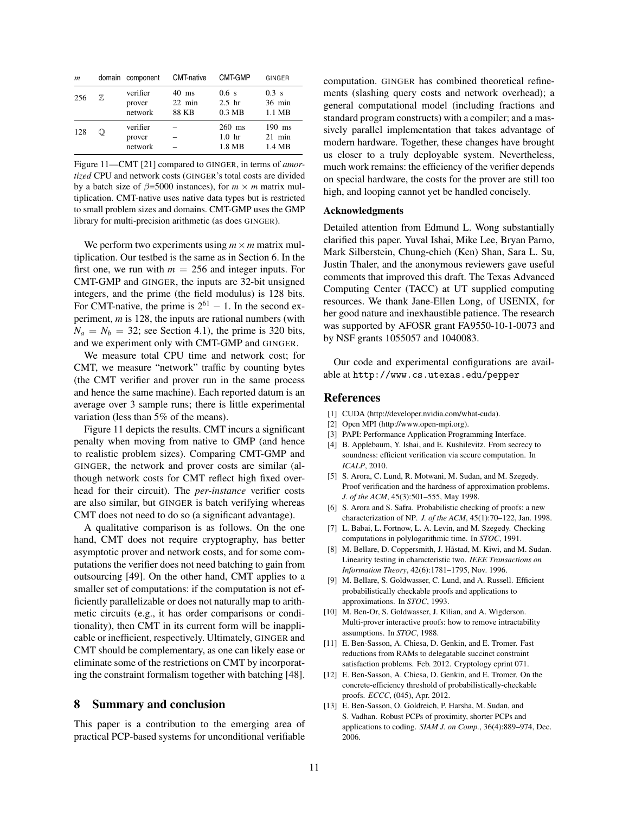| $\boldsymbol{m}$ |     | domain component              | <b>CMT-native</b>            | CMT-GMP                                 | GINGER                                 |
|------------------|-----|-------------------------------|------------------------------|-----------------------------------------|----------------------------------------|
| 256              | 77, | verifier<br>prover<br>network | $40$ ms<br>$22$ min<br>88 KB | 0.6 s<br>$2.5$ hr<br>$0.3 \text{ MB}$   | $0.3 \mathrm{s}$<br>$36$ min<br>1.1 MB |
| 128              | Q   | verifier<br>prover<br>network |                              | $260$ ms<br>1.0 <sub>hr</sub><br>1.8 MB | $190$ ms<br>$21$ min<br>1.4 MB         |

Figure 11—CMT [\[21\]](#page-11-2) compared to GINGER, in terms of *amortized* CPU and network costs (GINGER's total costs are divided by a batch size of  $\beta$ =5000 instances), for  $m \times m$  matrix multiplication. CMT-native uses native data types but is restricted to small problem sizes and domains. CMT-GMP uses the GMP library for multi-precision arithmetic (as does GINGER).

We perform two experiments using  $m \times m$  matrix multiplication. Our testbed is the same as in Section [6.](#page-6-1) In the first one, we run with  $m = 256$  and integer inputs. For CMT-GMP and GINGER, the inputs are 32-bit unsigned integers, and the prime (the field modulus) is 128 bits. For CMT-native, the prime is  $2^{61} - 1$ . In the second experiment, *m* is 128, the inputs are rational numbers (with  $N_a = N_b = 32$ ; see Section [4.1\)](#page-5-0), the prime is 320 bits, and we experiment only with CMT-GMP and GINGER.

We measure total CPU time and network cost; for CMT, we measure "network" traffic by counting bytes (the CMT verifier and prover run in the same process and hence the same machine). Each reported datum is an average over 3 sample runs; there is little experimental variation (less than 5% of the means).

Figure [11](#page-10-12) depicts the results. CMT incurs a significant penalty when moving from native to GMP (and hence to realistic problem sizes). Comparing CMT-GMP and GINGER, the network and prover costs are similar (although network costs for CMT reflect high fixed overhead for their circuit). The *per-instance* verifier costs are also similar, but GINGER is batch verifying whereas CMT does not need to do so (a significant advantage).

A qualitative comparison is as follows. On the one hand, CMT does not require cryptography, has better asymptotic prover and network costs, and for some computations the verifier does not need batching to gain from outsourcing [\[49\]](#page-11-5). On the other hand, CMT applies to a smaller set of computations: if the computation is not efficiently parallelizable or does not naturally map to arithmetic circuits (e.g., it has order comparisons or conditionality), then CMT in its current form will be inapplicable or inefficient, respectively. Ultimately, GINGER and CMT should be complementary, as one can likely ease or eliminate some of the restrictions on CMT by incorporating the constraint formalism together with batching [\[48\]](#page-11-38).

### 8 Summary and conclusion

This paper is a contribution to the emerging area of practical PCP-based systems for unconditional verifiable <span id="page-10-12"></span>computation. GINGER has combined theoretical refinements (slashing query costs and network overhead); a general computational model (including fractions and standard program constructs) with a compiler; and a massively parallel implementation that takes advantage of modern hardware. Together, these changes have brought us closer to a truly deployable system. Nevertheless, much work remains: the efficiency of the verifier depends on special hardware, the costs for the prover are still too high, and looping cannot yet be handled concisely.

#### Acknowledgments

Detailed attention from Edmund L. Wong substantially clarified this paper. Yuval Ishai, Mike Lee, Bryan Parno, Mark Silberstein, Chung-chieh (Ken) Shan, Sara L. Su, Justin Thaler, and the anonymous reviewers gave useful comments that improved this draft. The Texas Advanced Computing Center (TACC) at UT supplied computing resources. We thank Jane-Ellen Long, of USENIX, for her good nature and inexhaustible patience. The research was supported by AFOSR grant FA9550-10-1-0073 and by NSF grants 1055057 and 1040083.

Our code and experimental configurations are available at http://www.cs.utexas.edu/pepper

### References

- <span id="page-10-7"></span>[1] CUDA (http://developer.nvidia.com/what-cuda).
- <span id="page-10-6"></span>[2] Open MPI (http://www.open-mpi.org).
- <span id="page-10-8"></span>[3] PAPI: Performance Application Programming Interface.
- <span id="page-10-9"></span>[4] B. Applebaum, Y. Ishai, and E. Kushilevitz. From secrecy to soundness: efficient verification via secure computation. In *ICALP*, 2010.
- <span id="page-10-0"></span>[5] S. Arora, C. Lund, R. Motwani, M. Sudan, and M. Szegedy. Proof verification and the hardness of approximation problems. *J. of the ACM*, 45(3):501–555, May 1998.
- <span id="page-10-1"></span>[6] S. Arora and S. Safra. Probabilistic checking of proofs: a new characterization of NP. *J. of the ACM*, 45(1):70–122, Jan. 1998.
- <span id="page-10-10"></span>[7] L. Babai, L. Fortnow, L. A. Levin, and M. Szegedy. Checking computations in polylogarithmic time. In *STOC*, 1991.
- <span id="page-10-5"></span>[8] M. Bellare, D. Coppersmith, J. Håstad, M. Kiwi, and M. Sudan. Linearity testing in characteristic two. *IEEE Transactions on Information Theory*, 42(6):1781–1795, Nov. 1996.
- <span id="page-10-13"></span>[9] M. Bellare, S. Goldwasser, C. Lund, and A. Russell. Efficient probabilistically checkable proofs and applications to approximations. In *STOC*, 1993.
- <span id="page-10-11"></span>[10] M. Ben-Or, S. Goldwasser, J. Kilian, and A. Wigderson. Multi-prover interactive proofs: how to remove intractability assumptions. In *STOC*, 1988.
- <span id="page-10-2"></span>[11] E. Ben-Sasson, A. Chiesa, D. Genkin, and E. Tromer. Fast reductions from RAMs to delegatable succinct constraint satisfaction problems. Feb. 2012. Cryptology eprint 071.
- <span id="page-10-3"></span>[12] E. Ben-Sasson, A. Chiesa, D. Genkin, and E. Tromer. On the concrete-efficiency threshold of probabilistically-checkable proofs. *ECCC*, (045), Apr. 2012.
- <span id="page-10-4"></span>[13] E. Ben-Sasson, O. Goldreich, P. Harsha, M. Sudan, and S. Vadhan. Robust PCPs of proximity, shorter PCPs and applications to coding. *SIAM J. on Comp.*, 36(4):889–974, Dec. 2006.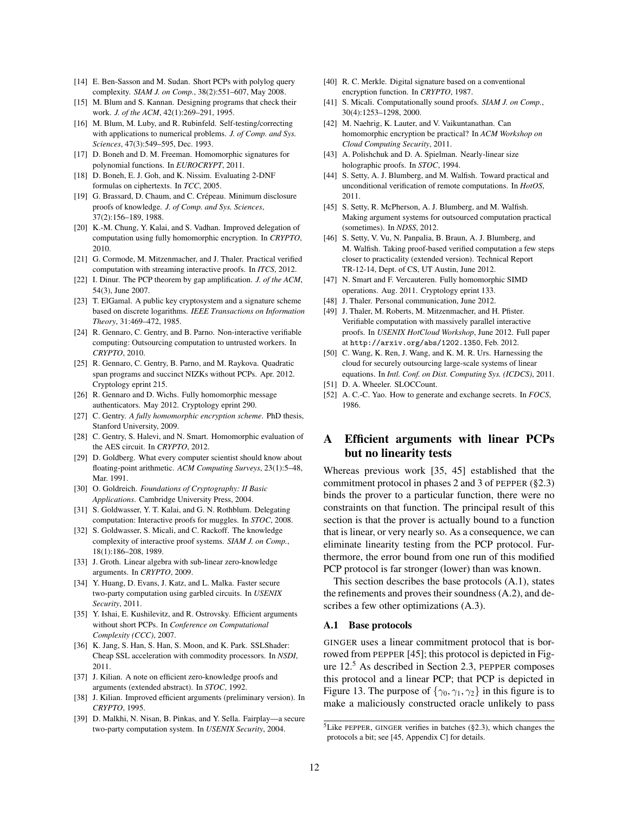- <span id="page-11-34"></span>[14] E. Ben-Sasson and M. Sudan. Short PCPs with polylog query complexity. *SIAM J. on Comp.*, 38(2):551–607, May 2008.
- <span id="page-11-32"></span>[15] M. Blum and S. Kannan. Designing programs that check their work. *J. of the ACM*, 42(1):269–291, 1995.
- <span id="page-11-16"></span>[16] M. Blum, M. Luby, and R. Rubinfeld. Self-testing/correcting with applications to numerical problems. *J. of Comp. and Sys. Sciences*, 47(3):549–595, Dec. 1993.
- <span id="page-11-19"></span>[17] D. Boneh and D. M. Freeman. Homomorphic signatures for polynomial functions. In *EUROCRYPT*, 2011.
- <span id="page-11-26"></span>[18] D. Boneh, E. J. Goh, and K. Nissim. Evaluating 2-DNF formulas on ciphertexts. In *TCC*, 2005.
- <span id="page-11-0"></span>[19] G. Brassard, D. Chaum, and C. Crépeau. Minimum disclosure proofs of knowledge. *J. of Comp. and Sys. Sciences*, 37(2):156–189, 1988.
- <span id="page-11-6"></span>[20] K.-M. Chung, Y. Kalai, and S. Vadhan. Improved delegation of computation using fully homomorphic encryption. In *CRYPTO*, 2010.
- <span id="page-11-2"></span>[21] G. Cormode, M. Mitzenmacher, and J. Thaler. Practical verified computation with streaming interactive proofs. In *ITCS*, 2012.
- <span id="page-11-35"></span>[22] I. Dinur. The PCP theorem by gap amplification. *J. of the ACM*, 54(3), June 2007.
- <span id="page-11-18"></span>[23] T. ElGamal. A public key cryptosystem and a signature scheme based on discrete logarithms. *IEEE Transactions on Information Theory*, 31:469–472, 1985.
- <span id="page-11-7"></span>[24] R. Gennaro, C. Gentry, and B. Parno. Non-interactive verifiable computing: Outsourcing computation to untrusted workers. In *CRYPTO*, 2010.
- <span id="page-11-8"></span>[25] R. Gennaro, C. Gentry, B. Parno, and M. Raykova. Quadratic span programs and succinct NIZKs without PCPs. Apr. 2012. Cryptology eprint 215.
- <span id="page-11-28"></span>[26] R. Gennaro and D. Wichs. Fully homomorphic message authenticators. May 2012. Cryptology eprint 290.
- <span id="page-11-17"></span>[27] C. Gentry. *A fully homomorphic encryption scheme*. PhD thesis, Stanford University, 2009.
- <span id="page-11-29"></span>[28] C. Gentry, S. Halevi, and N. Smart. Homomorphic evaluation of the AES circuit. In *CRYPTO*, 2012.
- <span id="page-11-21"></span>[29] D. Goldberg. What every computer scientist should know about floating-point arithmetic. *ACM Computing Surveys*, 23(1):5–48, Mar. 1991.
- <span id="page-11-39"></span>[30] O. Goldreich. *Foundations of Cryptography: II Basic Applications*. Cambridge University Press, 2004.
- <span id="page-11-37"></span>[31] S. Goldwasser, Y. T. Kalai, and G. N. Rothblum. Delegating computation: Interactive proofs for muggles. In *STOC*, 2008.
- <span id="page-11-1"></span>[32] S. Goldwasser, S. Micali, and C. Rackoff. The knowledge complexity of interactive proof systems. *SIAM J. on Comp.*, 18(1):186–208, 1989.
- <span id="page-11-27"></span>[33] J. Groth. Linear algebra with sub-linear zero-knowledge arguments. In *CRYPTO*, 2009.
- <span id="page-11-24"></span>[34] Y. Huang, D. Evans, J. Katz, and L. Malka. Faster secure two-party computation using garbled circuits. In *USENIX Security*, 2011.
- <span id="page-11-11"></span>[35] Y. Ishai, E. Kushilevitz, and R. Ostrovsky. Efficient arguments without short PCPs. In *Conference on Computational Complexity (CCC)*, 2007.
- <span id="page-11-22"></span>[36] K. Jang, S. Han, S. Han, S. Moon, and K. Park. SSLShader: Cheap SSL acceleration with commodity processors. In *NSDI*, 2011.
- <span id="page-11-9"></span>[37] J. Kilian. A note on efficient zero-knowledge proofs and arguments (extended abstract). In *STOC*, 1992.
- <span id="page-11-10"></span>[38] J. Kilian. Improved efficient arguments (preliminary version). In *CRYPTO*, 1995.
- <span id="page-11-12"></span>[39] D. Malkhi, N. Nisan, B. Pinkas, and Y. Sella. Fairplay—a secure two-party computation system. In *USENIX Security*, 2004.
- <span id="page-11-14"></span>[40] R. C. Merkle. Digital signature based on a conventional encryption function. In *CRYPTO*, 1987.
- <span id="page-11-33"></span>[41] S. Micali. Computationally sound proofs. *SIAM J. on Comp.*, 30(4):1253–1298, 2000.
- <span id="page-11-30"></span>[42] M. Naehrig, K. Lauter, and V. Vaikuntanathan. Can homomorphic encryption be practical? In *ACM Workshop on Cloud Computing Security*, 2011.
- <span id="page-11-36"></span>[43] A. Polishchuk and D. A. Spielman. Nearly-linear size holographic proofs. In *STOC*, 1994.
- <span id="page-11-3"></span>[44] S. Setty, A. J. Blumberg, and M. Walfish. Toward practical and unconditional verification of remote computations. In *HotOS*, 2011.
- <span id="page-11-4"></span>[45] S. Setty, R. McPherson, A. J. Blumberg, and M. Walfish. Making argument systems for outsourced computation practical (sometimes). In *NDSS*, 2012.
- <span id="page-11-13"></span>[46] S. Setty, V. Vu, N. Panpalia, B. Braun, A. J. Blumberg, and M. Walfish. Taking proof-based verified computation a few steps closer to practicality (extended version). Technical Report TR-12-14, Dept. of CS, UT Austin, June 2012.
- <span id="page-11-31"></span>[47] N. Smart and F. Vercauteren. Fully homomorphic SIMD operations. Aug. 2011. Cryptology eprint 133.
- <span id="page-11-38"></span>[48] J. Thaler. Personal communication, June 2012.
- <span id="page-11-5"></span>[49] J. Thaler, M. Roberts, M. Mitzenmacher, and H. Pfister. Verifiable computation with massively parallel interactive proofs. In *USENIX HotCloud Workshop*, June 2012. Full paper at <http://arxiv.org/abs/1202.1350>, Feb. 2012.
- <span id="page-11-20"></span>[50] C. Wang, K. Ren, J. Wang, and K. M. R. Urs. Harnessing the cloud for securely outsourcing large-scale systems of linear equations. In *Intl. Conf. on Dist. Computing Sys. (ICDCS)*, 2011.
- <span id="page-11-23"></span>[51] D. A. Wheeler. SLOCCount.
- <span id="page-11-25"></span>[52] A. C.-C. Yao. How to generate and exchange secrets. In *FOCS*, 1986.

# A Efficient arguments with linear PCPs but no linearity tests

Whereas previous work [\[35,](#page-11-11) [45\]](#page-11-4) established that the commitment protocol in phases 2 and 3 of PEPPER ([§2.3\)](#page-2-2) binds the prover to a particular function, there were no constraints on that function. The principal result of this section is that the prover is actually bound to a function that is linear, or very nearly so. As a consequence, we can eliminate linearity testing from the PCP protocol. Furthermore, the error bound from one run of this modified PCP protocol is far stronger (lower) than was known.

This section describes the base protocols [\(A.1\)](#page-11-15), states the refinements and proves their soundness [\(A.2\)](#page-12-0), and describes a few other optimizations [\(A.3\)](#page-15-0).

### <span id="page-11-15"></span>A.1 Base protocols

GINGER uses a linear commitment protocol that is borrowed from PEPPER [\[45\]](#page-11-4); this protocol is depicted in Figure [12.](#page-12-1)<sup>5</sup> As described in Section [2.3,](#page-2-2) PEPPER composes this protocol and a linear PCP; that PCP is depicted in Figure [13.](#page-13-0) The purpose of  $\{\gamma_0, \gamma_1, \gamma_2\}$  in this figure is to make a maliciously constructed oracle unlikely to pass

<sup>&</sup>lt;sup>5</sup>Like PEPPER, GINGER verifies in batches  $(\S2.3)$ , which changes the protocols a bit; see [\[45,](#page-11-4) Appendix C] for details.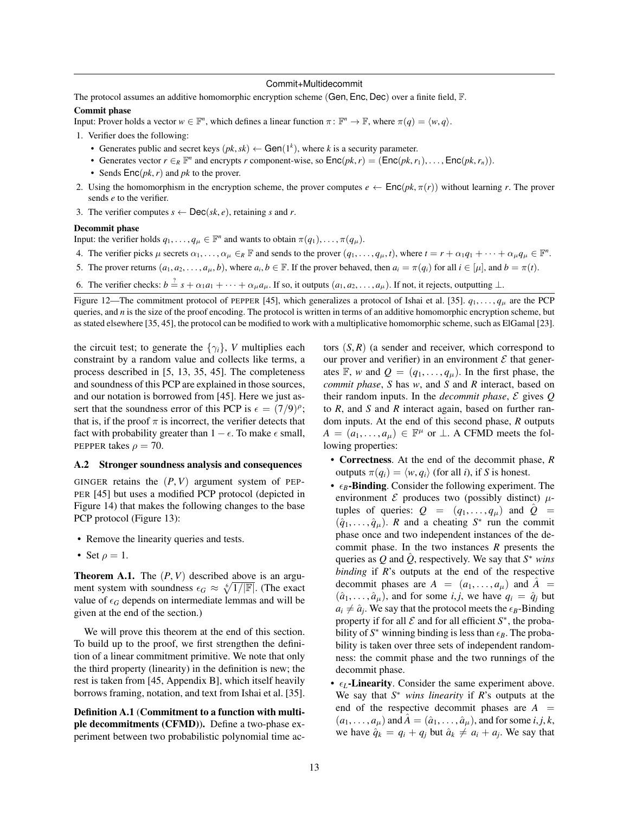### Commit+Multidecommit

The protocol assumes an additive homomorphic encryption scheme (Gen, Enc, Dec) over a finite field, F.

### Commit phase

Input: Prover holds a vector  $w \in \mathbb{F}^n$ , which defines a linear function  $\pi \colon \mathbb{F}^n \to \mathbb{F}$ , where  $\pi(q) = \langle w, q \rangle$ .

1. Verifier does the following:

- Generates public and secret keys  $(pk, sk) \leftarrow \text{Gen}(1^k)$ , where *k* is a security parameter.
- Generates vector  $r \in_R \mathbb{F}^n$  and encrypts  $r$  component-wise, so  $\mathsf{Enc}(pk, r) = (\mathsf{Enc}(pk, r_1), \ldots, \mathsf{Enc}(pk, r_n)).$
- Sends Enc(*pk*,*r*) and *pk* to the prover.
- 2. Using the homomorphism in the encryption scheme, the prover computes  $e \leftarrow \text{Enc}(pk, \pi(r))$  without learning *r*. The prover sends *e* to the verifier.
- 3. The verifier computes  $s \leftarrow \textsf{Dec}(sk, e)$ , retaining *s* and *r*.

#### Decommit phase

Input: the verifier holds  $q_1, \ldots, q_\mu \in \mathbb{F}^n$  and wants to obtain  $\pi(q_1), \ldots, \pi(q_\mu)$ .

- 4. The verifier picks  $\mu$  secrets  $\alpha_1, \ldots, \alpha_\mu \in_R \mathbb{F}$  and sends to the prover  $(q_1, \ldots, q_\mu, t)$ , where  $t = r + \alpha_1 q_1 + \cdots + \alpha_\mu q_\mu \in \mathbb{F}^n$ .
- 5. The prover returns  $(a_1, a_2, \ldots, a_{\mu}, b)$ , where  $a_i, b \in \mathbb{F}$ . If the prover behaved, then  $a_i = \pi(q_i)$  for all  $i \in [\mu]$ , and  $b = \pi(t)$ .
- 6. The verifier checks:  $b = s + \alpha_1 a_1 + \cdots + \alpha_\mu a_\mu$ . If so, it outputs  $(a_1, a_2, \ldots, a_\mu)$ . If not, it rejects, outputting ⊥.

<span id="page-12-1"></span>Figure 12—The commitment protocol of PEPPER [\[45\]](#page-11-4), which generalizes a protocol of Ishai et al. [\[35\]](#page-11-11).  $q_1, \ldots, q_\mu$  are the PCP queries, and *n* is the size of the proof encoding. The protocol is written in terms of an additive homomorphic encryption scheme, but as stated elsewhere [\[35,](#page-11-11) [45\]](#page-11-4), the protocol can be modified to work with a multiplicative homomorphic scheme, such as ElGamal [\[23\]](#page-11-18).

the circuit test; to generate the  $\{\gamma_i\}$ , *V* multiplies each constraint by a random value and collects like terms, a process described in [\[5,](#page-10-0) [13,](#page-10-4) [35,](#page-11-11) [45\]](#page-11-4). The completeness and soundness of this PCP are explained in those sources, and our notation is borrowed from [\[45\]](#page-11-4). Here we just assert that the soundness error of this PCP is  $\epsilon = (7/9)^{\rho}$ ; that is, if the proof  $\pi$  is incorrect, the verifier detects that fact with probability greater than  $1 - \epsilon$ . To make  $\epsilon$  small, PEPPER takes  $\rho = 70$ .

### <span id="page-12-0"></span>A.2 Stronger soundness analysis and consequences

GINGER retains the  $(P, V)$  argument system of PEP-PER [\[45\]](#page-11-4) but uses a modified PCP protocol (depicted in Figure [14\)](#page-13-1) that makes the following changes to the base PCP protocol (Figure [13\)](#page-13-0):

- Remove the linearity queries and tests.
- Set  $\rho = 1$ .

<span id="page-12-2"></span>**Theorem A.1.** The  $(P, V)$  described above is an argument system with soundness  $\epsilon_G \approx \sqrt[6]{1/|\mathbb{F}|}$ . (The exact value of  $\epsilon_G$  depends on intermediate lemmas and will be given at the end of the section.)

We will prove this theorem at the end of this section. To build up to the proof, we first strengthen the definition of a linear commitment primitive. We note that only the third property (linearity) in the definition is new; the rest is taken from [\[45,](#page-11-4) Appendix B], which itself heavily borrows framing, notation, and text from Ishai et al. [\[35\]](#page-11-11).

Definition A.1 (Commitment to a function with multiple decommitments (CFMD)). Define a two-phase experiment between two probabilistic polynomial time actors  $(S, R)$  (a sender and receiver, which correspond to our prover and verifier) in an environment  $\mathcal E$  that generates F, *w* and  $Q = (q_1, \ldots, q_\mu)$ . In the first phase, the *commit phase*, *S* has *w*, and *S* and *R* interact, based on their random inputs. In the *decommit phase*, E gives *Q* to *R*, and *S* and *R* interact again, based on further random inputs. At the end of this second phase, *R* outputs  $A = (a_1, \ldots, a_\mu) \in \mathbb{F}^\mu$  or  $\perp$ . A CFMD meets the following properties:

- Correctness. At the end of the decommit phase, *R* outputs  $\pi(q_i) = \langle w, q_i \rangle$  (for all *i*), if *S* is honest.
- $\epsilon_B$ -Binding. Consider the following experiment. The environment  $\mathcal E$  produces two (possibly distinct)  $\mu$ tuples of queries:  $Q = (q_1, \ldots, q_\mu)$  and  $\hat{Q} =$  $(\hat{q}_1, \ldots, \hat{q}_\mu)$ . *R* and a cheating *S*<sup>\*</sup> run the commit phase once and two independent instances of the decommit phase. In the two instances *R* presents the queries as  $Q$  and  $\hat{Q}$ , respectively. We say that  $S^*$  *wins binding* if *R*'s outputs at the end of the respective decommit phases are  $A = (a_1, \ldots, a_\mu)$  and  $\tilde{A} =$  $(\hat{a}_1, \ldots, \hat{a}_u)$ , and for some *i*, *j*, we have  $q_i = \hat{q}_i$  but  $a_i \neq \hat{a}_j$ . We say that the protocol meets the  $\epsilon_B$ -Binding property if for all  $\mathcal E$  and for all efficient  $S^*$ , the probability of  $S^*$  winning binding is less than  $\epsilon_B$ . The probability is taken over three sets of independent randomness: the commit phase and the two runnings of the decommit phase.
- $\epsilon_L$ -Linearity. Consider the same experiment above. We say that *S* <sup>∗</sup> *wins linearity* if *R*'s outputs at the end of the respective decommit phases are  $A =$  $(a_1, \ldots, a_\mu)$  and  $\tilde{A} = (\hat{a}_1, \ldots, \hat{a}_\mu)$ , and for some *i*, *j*, *k*, we have  $\hat{q}_k = q_i + q_j$  but  $\hat{a}_k \neq a_i + a_j$ . We say that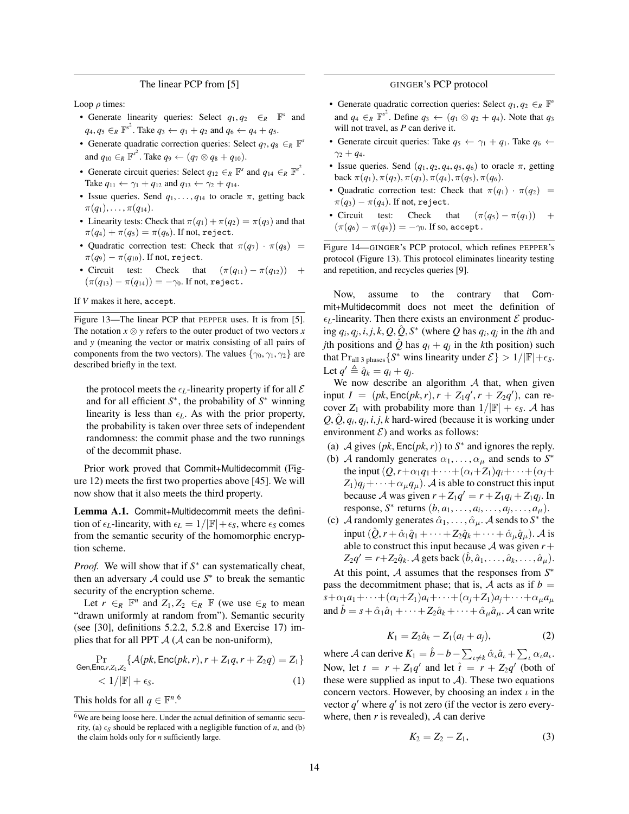### The linear PCP from [\[5\]](#page-10-0)

Loop  $\rho$  times:

- Generate linearity queries: Select  $q_1, q_2 \in R$  **F**<sup>s</sup> and  $q_4, q_5 \in_R \mathbb{F}^s$ <sup>2</sup>. Take  $q_3 \leftarrow q_1 + q_2$  and  $q_6 \leftarrow q_4 + q_5$ .
- Generate quadratic correction queries: Select  $q_7, q_8 \in_R \mathbb{F}^s$ and  $q_{10} \in_R \mathbb{F}^{s^2}$ . Take  $q_9 \leftarrow (q_7 \otimes q_8 + q_{10})$ .
- Generate circuit queries: Select  $q_{12} \in_R \mathbb{F}^s$  and  $q_{14} \in_R \mathbb{F}^{s^2}$ . Take  $q_{11} \leftarrow \gamma_1 + q_{12}$  and  $q_{13} \leftarrow \gamma_2 + q_{14}$ .
- Issue queries. Send  $q_1, \ldots, q_{14}$  to oracle  $\pi$ , getting back  $\pi(q_1), \ldots, \pi(q_{14}).$
- Linearity tests: Check that  $\pi(q_1) + \pi(q_2) = \pi(q_3)$  and that  $\pi(q_4) + \pi(q_5) = \pi(q_6)$ . If not, reject.
- Quadratic correction test: Check that  $\pi(q_7) \cdot \pi(q_8)$  =  $\pi(q_9) - \pi(q_{10})$ . If not, reject.
- Circuit test: Check that  $(\pi(q_{11}) \pi(q_{12}))$  +  $(\pi(q_{13}) - \pi(q_{14})) = -\gamma_0$ . If not, reject.

If *V* makes it here, accept.

<span id="page-13-0"></span>Figure 13—The linear PCP that PEPPER uses. It is from [\[5\]](#page-10-0). The notation  $x \otimes y$  refers to the outer product of two vectors  $x$ and *y* (meaning the vector or matrix consisting of all pairs of components from the two vectors). The values  $\{\gamma_0, \gamma_1, \gamma_2\}$  are described briefly in the text.

the protocol meets the  $\epsilon_L$ -linearity property if for all  $\mathcal E$ and for all efficient  $S^*$ , the probability of  $S^*$  winning linearity is less than  $\epsilon_L$ . As with the prior property, the probability is taken over three sets of independent randomness: the commit phase and the two runnings of the decommit phase.

Prior work proved that Commit+Multidecommit (Figure [12\)](#page-12-1) meets the first two properties above [\[45\]](#page-11-4). We will now show that it also meets the third property.

Lemma A.1. Commit+Multidecommit meets the definition of  $\epsilon_L$ -linearity, with  $\epsilon_L = 1/|\mathbb{F}| + \epsilon_S$ , where  $\epsilon_S$  comes from the semantic security of the homomorphic encryption scheme.

*Proof.* We will show that if  $S^*$  can systematically cheat, then an adversary  $A$  could use  $S^*$  to break the semantic security of the encryption scheme.

Let  $r \in_R \mathbb{F}^n$  and  $Z_1, Z_2 \in_R \mathbb{F}$  (we use  $\in_R$  to mean "drawn uniformly at random from"). Semantic security (see [\[30\]](#page-11-39), definitions 5.2.2, 5.2.8 and Exercise 17) implies that for all PPT  $\mathcal A$  ( $\mathcal A$  can be non-uniform),

$$
\Pr_{\text{Gen,Enc}, r, Z_1, Z_2} \{ \mathcal{A}(pk, \text{Enc}(pk, r), r + Z_1 q, r + Z_2 q) = Z_1 \}
$$
  
< 1/|\mathbb{F}| + \epsilon\_S. (1)

This holds for all  $q \in \mathbb{F}^{n,6}$ 

### GINGER's PCP protocol

- Generate quadratic correction queries: Select  $q_1, q_2 \in_R \mathbb{F}^s$ and  $q_4 \in_R \mathbb{F}^{s^2}$ . Define  $q_3 \leftarrow (q_1 \otimes q_2 + q_4)$ . Note that  $q_3$ will not travel, as *P* can derive it.
- Generate circuit queries: Take  $q_5 \leftarrow \gamma_1 + q_1$ . Take  $q_6 \leftarrow$  $\gamma_2 + q_4$ .
- Issue queries. Send  $(q_1, q_2, q_4, q_5, q_6)$  to oracle  $\pi$ , getting back  $\pi(q_1), \pi(q_2), \pi(q_3), \pi(q_4), \pi(q_5), \pi(q_6).$
- Quadratic correction test: Check that  $\pi(q_1) \cdot \pi(q_2)$  =  $\pi(q_3) - \pi(q_4)$ . If not, reject.
- Circuit test: Check that  $(\pi(q_5) \pi(q_1))$  +  $(\pi(q_6) - \pi(q_4)) = -\gamma_0$ . If so, accept.

<span id="page-13-1"></span>Figure 14—GINGER's PCP protocol, which refines PEPPER's protocol (Figure [13\)](#page-13-0). This protocol eliminates linearity testing and repetition, and recycles queries [\[9\]](#page-10-13).

Now, assume to the contrary that Commit+Multidecommit does not meet the definition of  $\epsilon_L$ -linearity. Then there exists an environment  $\mathcal E$  producing  $q_i, q_j, i, j, k, Q, \hat{Q}, S^*$  (where  $Q$  has  $q_i, q_j$  in the *i*th and *j*th positions and  $\hat{Q}$  has  $q_i + q_j$  in the *k*th position) such that  $Pr_{\text{all 3 phases}}\{S^* \text{ wins linearity under } \mathcal{E}\} > 1/|\mathbb{F}| + \epsilon_S.$ Let  $q' \triangleq \hat{q}_k = q_i + q_j$ .

We now describe an algorithm  $A$  that, when given input  $I = (pk, Enc(pk, r), r + Z_1q', r + Z_2q')$ , can recover  $Z_1$  with probability more than  $1/|\mathbb{F}| + \epsilon_S$ . A has  $Q, \hat{Q}, q_i, q_j, i, j, k$  hard-wired (because it is working under environment  $\mathcal{E}$ ) and works as follows:

- (a) A gives  $(pk, Enc(pk, r))$  to  $S^*$  and ignores the reply.
- (b) A randomly generates  $\alpha_1, \ldots, \alpha_\mu$  and sends to  $S^*$ the input  $(Q, r + \alpha_1 q_1 + \cdots + (\alpha_i + Z_1) q_i + \cdots + (\alpha_i +$  $Z_1$ ) $q_i$ + $\cdots$ + $\alpha_\mu$  $q_\mu$ ). A is able to construct this input because A was given  $r + Z_1 q' = r + Z_1 q_i + Z_1 q_j$ . In response,  $S^*$  returns  $(b, a_1, \ldots, a_i, \ldots, a_j, \ldots, a_\mu)$ .
- (c) A randomly generates  $\hat{\alpha}_1, \dots, \hat{\alpha}_\mu$ . A sends to  $S^*$  the input  $(\hat{Q}, r + \hat{\alpha}_1 \hat{q}_1 + \cdots + Z_2 \hat{q}_k + \cdots + \hat{\alpha}_\mu \hat{q}_\mu)$ . A is able to construct this input because  $A$  was given  $r+$  $Z_2 q' = r + Z_2 \hat{q}_k$ . A gets back  $(\hat{b}, \hat{a}_1, \dots, \hat{a}_k, \dots, \hat{a}_\mu)$ .

At this point, A assumes that the responses from *S* ∗ pass the decommitment phase; that is,  $A$  acts as if  $b =$  $s + \alpha_1 a_1 + \cdots + (\alpha_i + \mathbf{Z}_1) a_i + \cdots + (\alpha_j + \mathbf{Z}_1) a_j + \cdots + \alpha_\mu a_\mu$ and  $\hat{b} = s + \hat{\alpha}_1 \hat{a}_1 + \dots + Z_2 \hat{a}_k + \dots + \hat{\alpha}_u \hat{a}_u$ . A can write

$$
K_1 = Z_2 \hat{a}_k - Z_1 (a_i + a_j), \tag{2}
$$

<span id="page-13-4"></span><span id="page-13-2"></span>where A can derive  $K_1 = \hat{b} - b - \sum_{\iota \neq k} \hat{\alpha}_{\iota} \hat{a}_{\iota} + \sum_{\iota} \alpha_{\iota} a_{\iota}$ . Now, let  $t = r + Z_1 q'$  and let  $\hat{t} = r + Z_2 q'$  (both of these were supplied as input to  $A$ ). These two equations concern vectors. However, by choosing an index  $\iota$  in the vector  $q'$  where  $q'$  is not zero (if the vector is zero everywhere, then  $r$  is revealed),  $A$  can derive

<span id="page-13-3"></span>
$$
K_2 = Z_2 - Z_1,\tag{3}
$$

<sup>6</sup>We are being loose here. Under the actual definition of semantic security, (a)  $\epsilon_s$  should be replaced with a negligible function of *n*, and (b) the claim holds only for *n* sufficiently large.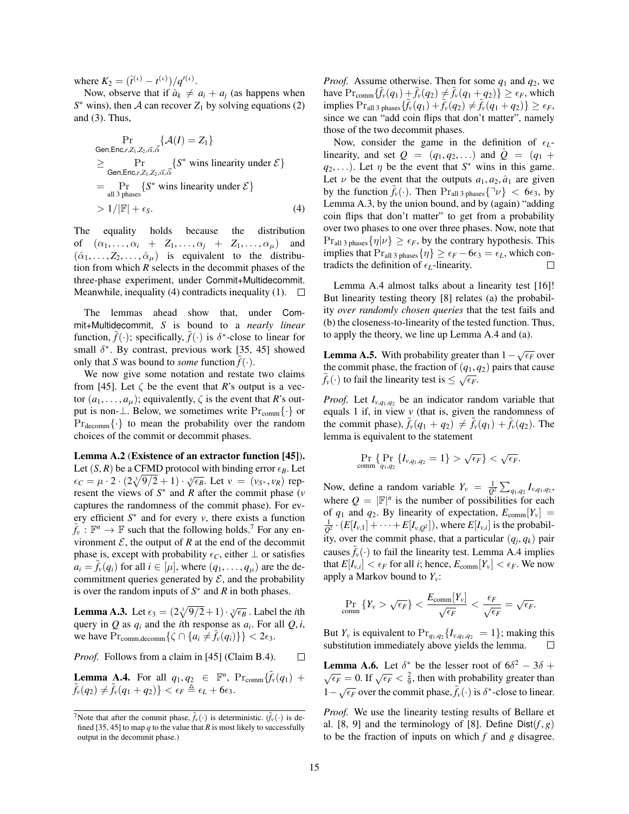where  $K_2 = (\hat{t}^{(\iota)} - t^{(\iota)})/q'^{(\iota)}$ .

Now, observe that if  $\hat{a}_k \neq a_i + a_j$  (as happens when  $S^*$  wins), then A can recover  $Z_1$  by solving equations [\(2\)](#page-13-2) and [\(3\)](#page-13-3). Thus,

$$
\Pr_{\text{Gen,Enc}, r, Z_1, Z_2, \vec{\alpha}, \vec{\alpha}} \{ \mathcal{A}(I) = Z_1 \}
$$
\n
$$
\geq \Pr_{\text{Gen,Enc}, r, Z_1, Z_2, \vec{\alpha}, \vec{\alpha}} \{ S^* \text{ wins linearity under } \mathcal{E} \}
$$
\n
$$
= \Pr_{\text{all 3 phases}} \{ S^* \text{ wins linearity under } \mathcal{E} \}
$$
\n
$$
> 1/|\mathbb{F}| + \epsilon_S. \tag{4}
$$

The equality holds because the distribution of  $(\alpha_1, \ldots, \alpha_i + Z_1, \ldots, \alpha_i + Z_1, \ldots, \alpha_u)$  and  $(\hat{\alpha}_1, \ldots, Z_2, \ldots, \hat{\alpha}_\mu)$  is equivalent to the distribution from which *R* selects in the decommit phases of the three-phase experiment, under Commit+Multidecommit. Meanwhile, inequality [\(4\)](#page-14-0) contradicts inequality [\(1\)](#page-13-4).  $\Box$ 

The lemmas ahead show that, under Commit+Multidecommit, *S* is bound to a *nearly linear* function,  $\tilde{f}(\cdot)$ ; specifically,  $\tilde{f}(\cdot)$  is  $\delta^*$ -close to linear for small  $\delta^*$ . By contrast, previous work [\[35,](#page-11-11) [45\]](#page-11-4) showed only that *S* was bound to *some* function  $f(\cdot)$ .

We now give some notation and restate two claims from [\[45\]](#page-11-4). Let  $\zeta$  be the event that *R*'s output is a vector  $(a_1, \ldots, a_n)$ ; equivalently,  $\zeta$  is the event that *R*'s output is non- $\perp$ . Below, we sometimes write  $Pr_{comm} \{\cdot\}$  or  $Pr_{\text{decomm}}\{\cdot\}$  to mean the probability over the random choices of the commit or decommit phases.

<span id="page-14-4"></span>Lemma A.2 (Existence of an extractor function [\[45\]](#page-11-4)). Let  $(S, R)$  be a CFMD protocol with binding error  $\epsilon_B$ . Let  $\epsilon_C = \mu \cdot 2 \cdot (2\sqrt[3]{9/2} + 1) \cdot \sqrt[3]{\epsilon_B}$ . Let  $v = (v_{S^*}, v_R)$  represent the views of  $S^*$  and  $R$  after the commit phase ( $v$ captures the randomness of the commit phase). For every efficient  $S^*$  and for every  $v$ , there exists a function  $\tilde{f}_v : \mathbb{F}^n \to \mathbb{F}$  such that the following holds.<sup>7</sup> For any environment  $\mathcal E$ , the output of  $R$  at the end of the decommit phase is, except with probability  $\epsilon_C$ , either  $\perp$  or satisfies  $a_i = f_v(q_i)$  for all  $i \in [\mu]$ , where  $(q_1, \ldots, q_\mu)$  are the decommitment queries generated by  $\mathcal{E}$ , and the probability is over the random inputs of  $S^*$  and  $R$  in both phases.

<span id="page-14-1"></span>**Lemma A.3.** Let  $\epsilon_3 = (2\sqrt[3]{9/2}+1) \cdot \sqrt[3]{\epsilon_B}$ . Label the *i*th query in *Q* as  $q_i$  and the *i*th response as  $a_i$ . For all  $Q$ , *i*, we have  $Pr_{\text{comm},\text{decomm}}\{\zeta \cap \{a_i \neq \tilde{f}_\nu(q_i)\}\} < 2\epsilon_3$ .

*Proof.* Follows from a claim in [\[45\]](#page-11-4) (Claim B.4).  $\Box$ 

<span id="page-14-2"></span>**Lemma A.4.** For all  $q_1, q_2 \in \mathbb{F}^n$ ,  $Pr_{\text{comm}}\{\tilde{f}_v(q_1) +$  $\tilde{f}_\nu(q_2) \neq \tilde{f}_\nu(q_1 + q_2) \} < \epsilon_F \triangleq \epsilon_L + 6\epsilon_3.$ 

*Proof.* Assume otherwise. Then for some *q*<sup>1</sup> and *q*2, we have  $Pr_{\text{comm}}\{\tilde{f}_v(q_1) + \tilde{f}_v(q_2) \neq \tilde{f}_v(q_1 + q_2)\} \geq \epsilon_F$ , which  $\{ \text{implies } \Pr_{\text{all 3 phases}} \{ \tilde{f}_v(q_1) + \tilde{f}_v(q_2) \neq \tilde{f}_v(q_1 + q_2) \} \geq \epsilon_F,$ since we can "add coin flips that don't matter", namely those of the two decommit phases.

<span id="page-14-0"></span>Now, consider the game in the definition of  $\epsilon_L$ linearity, and set  $Q = (q_1, q_2, \ldots)$  and  $\tilde{Q} = (q_1 +$  $q_2, \ldots$ ). Let  $\eta$  be the event that  $S^*$  wins in this game. Let  $\nu$  be the event that the outputs  $a_1, a_2, a_1$  are given by the function  $f_\nu(\cdot)$ . Then  $\Pr_{\text{all 3 phases}}\{\neg \nu\} < 6\epsilon_3$ , by Lemma [A.3,](#page-14-1) by the union bound, and by (again) "adding coin flips that don't matter" to get from a probability over two phases to one over three phases. Now, note that  $Pr_{\text{all 3 phases}}\{\eta|\nu\} \geq \epsilon_F$ , by the contrary hypothesis. This implies that  $Pr_{all 3 \text{ phases}}\{\eta\} \geq \epsilon_F - 6\epsilon_3 = \epsilon_L$ , which contradicts the definition of  $\epsilon_L$ -linearity.  $\Box$ 

Lemma [A.4](#page-14-2) almost talks about a linearity test [\[16\]](#page-11-16)! But linearity testing theory [\[8\]](#page-10-5) relates (a) the probability *over randomly chosen queries* that the test fails and (b) the closeness-to-linearity of the tested function. Thus, to apply the theory, we line up Lemma [A.4](#page-14-2) and (a).

<span id="page-14-3"></span>**Lemma A.5.** With probability greater than  $1 - \sqrt{\epsilon_F}$  over the commit phase, the fraction of  $(q_1, q_2)$  pairs that cause  $\tilde{f}_v(\cdot)$  to fail the linearity test is  $\leq \sqrt{\epsilon_F}$ .

*Proof.* Let *Iv*,*q*1,*q*<sup>2</sup> be an indicator random variable that equals 1 if, in view *v* (that is, given the randomness of the commit phase),  $\hat{f}_y(q_1 + q_2) \neq \hat{f}_y(q_1) + \hat{f}_y(q_2)$ . The lemma is equivalent to the statement

$$
\Pr_{\text{comm}}\left\{\Pr_{q_1,q_2}\left\{I_{v,q_1,q_2}=1\right\} > \sqrt{\epsilon_F}\right\} < \sqrt{\epsilon_F}.
$$

Now, define a random variable  $Y_v = \frac{1}{Q^2} \sum_{q_1, q_2} I_{v, q_1, q_2}$ , where  $Q = |\mathbb{F}|^n$  is the number of possibilities for each of  $q_1$  and  $q_2$ . By linearity of expectation,  $E_{\text{comm}}[Y_v] =$  $\frac{1}{Q^2} \cdot (E[I_{\nu,1}] + \cdots + E[I_{\nu,Q^2}])$ , where  $E[I_{\nu,i}]$  is the probability, over the commit phase, that a particular  $(q_j, q_k)$  pair causes  $f_v(\cdot)$  to fail the linearity test. Lemma [A.4](#page-14-2) implies that  $E[I_{v,i}] < \epsilon_F$  for all *i*; hence,  $E_{\text{comm}}[Y_v] < \epsilon_F$ . We now apply a Markov bound to *Yv*:

$$
\Pr_{\text{comm}}\left\{Y_{\nu} > \sqrt{\epsilon_F}\right\} < \frac{E_{\text{comm}}[Y_{\nu}]}{\sqrt{\epsilon_F}} < \frac{\epsilon_F}{\sqrt{\epsilon_F}} = \sqrt{\epsilon_F}.
$$

But  $Y_v$  is equivalent to  $\Pr_{q_1,q_2} \{I_{v,q_1,q_2} = 1\}$ ; making this substitution immediately above yields the lemma.

<span id="page-14-5"></span>**Lemma A.6.** Let  $\delta^*$  be the lesser root of  $6\delta^2 - 3\delta$  + **EXECUTE:**  $\sqrt{\epsilon_F} = 0$ . If  $\sqrt{\epsilon_F} < \frac{2}{9}$ , then with probability greater than  $1 - \sqrt{\epsilon_F}$  over the commit phase,  $\tilde{f}_v(\cdot)$  is  $\delta^*$ -close to linear.

*Proof.* We use the linearity testing results of Bellare et al. [\[8,](#page-10-5) [9\]](#page-10-13) and the terminology of [\[8\]](#page-10-5). Define  $Dist(f, g)$ to be the fraction of inputs on which *f* and *g* disagree.

<sup>&</sup>lt;sup>7</sup>Note that after the commit phase,  $\tilde{f}_v(\cdot)$  is deterministic.  $(\tilde{f}_v(\cdot))$  is de-fined [\[35,](#page-11-11) [45\]](#page-11-4) to map *q* to the value that *R* is most likely to successfully output in the decommit phase.)